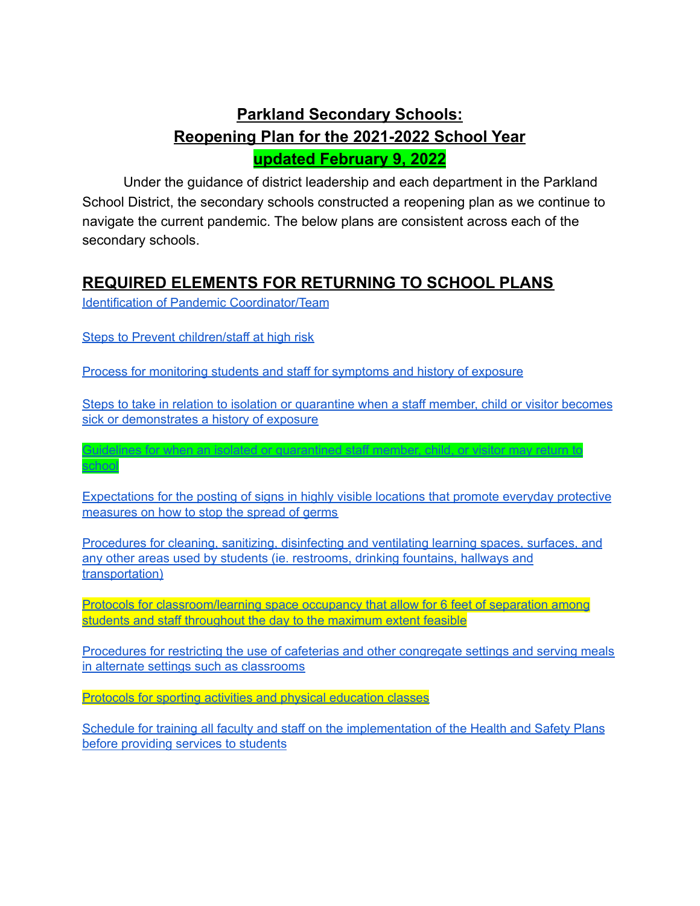# **Parkland Secondary Schools: Reopening Plan for the 2021-2022 School Year updated February 9, 2022**

Under the guidance of district leadership and each department in the Parkland School District, the secondary schools constructed a reopening plan as we continue to navigate the current pandemic. The below plans are consistent across each of the secondary schools.

### <span id="page-0-0"></span>**REQUIRED ELEMENTS FOR RETURNING TO SCHOOL PLANS**

Identification of Pandemic [Coordinator/Team](#page-1-0)

Steps to Prevent [children/staff](#page-3-0) at high risk

[school](#page-4-1)

Process for [monitoring](#page-3-1) students and staff for symptoms and history of exposure

Steps to take in relation to isolation or [quarantine](#page-4-0) when a staff member, child or visitor becomes sick or [demonstrates](#page-4-0) a history of exposure

Guidelines for when an isolated or [quarantined](#page-4-1) staff member, child, or visitor may return to

[Expectations](#page-5-0) for the posting of signs in highly visible locations that promote everyday protective [measures](#page-5-0) on how to stop the spread of germs

[Procedures](#page-6-0) for cleaning, sanitizing, disinfecting and ventilating learning spaces, surfaces, and any other areas used by students (ie. [restrooms,](#page-6-0) drinking fountains, hallways and [transportation\)](#page-6-0)

Protocols for [classroom/learning](#page-7-0) space occupancy that allow for 6 feet of separation among students and staff [throughout](#page-7-0) the day to the maximum extent feasible

[Procedures](#page-10-0) for restricting the use of cafeterias and other congregate settings and serving meals in alternate settings such as [classrooms](#page-10-0)

Protocols for sporting activities and physical [education](#page-11-0) classes

Schedule for training all faculty and staff on the [implementation](#page-12-0) of the Health and Safety Plans before [providing](#page-12-0) services to students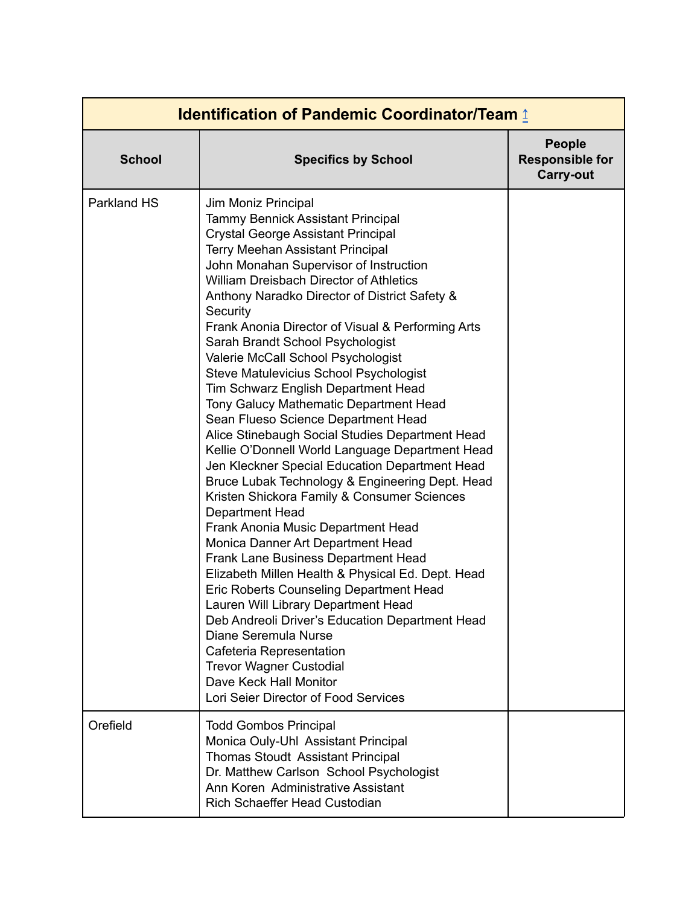<span id="page-1-0"></span>

| <b>School</b> | <b>Specifics by School</b>                                                                                                                                                                                                                                                                                                                                                                                                                                                                                                                                                                                                                                                                                                                                                                                                                                                                                                                                                                                                                                                                                                                                                                                                                                                                                                                                                       | <b>People</b><br><b>Responsible for</b><br><b>Carry-out</b> |
|---------------|----------------------------------------------------------------------------------------------------------------------------------------------------------------------------------------------------------------------------------------------------------------------------------------------------------------------------------------------------------------------------------------------------------------------------------------------------------------------------------------------------------------------------------------------------------------------------------------------------------------------------------------------------------------------------------------------------------------------------------------------------------------------------------------------------------------------------------------------------------------------------------------------------------------------------------------------------------------------------------------------------------------------------------------------------------------------------------------------------------------------------------------------------------------------------------------------------------------------------------------------------------------------------------------------------------------------------------------------------------------------------------|-------------------------------------------------------------|
| Parkland HS   | Jim Moniz Principal<br><b>Tammy Bennick Assistant Principal</b><br><b>Crystal George Assistant Principal</b><br><b>Terry Meehan Assistant Principal</b><br>John Monahan Supervisor of Instruction<br><b>William Dreisbach Director of Athletics</b><br>Anthony Naradko Director of District Safety &<br>Security<br>Frank Anonia Director of Visual & Performing Arts<br>Sarah Brandt School Psychologist<br>Valerie McCall School Psychologist<br>Steve Matulevicius School Psychologist<br>Tim Schwarz English Department Head<br>Tony Galucy Mathematic Department Head<br>Sean Flueso Science Department Head<br>Alice Stinebaugh Social Studies Department Head<br>Kellie O'Donnell World Language Department Head<br>Jen Kleckner Special Education Department Head<br>Bruce Lubak Technology & Engineering Dept. Head<br>Kristen Shickora Family & Consumer Sciences<br><b>Department Head</b><br>Frank Anonia Music Department Head<br>Monica Danner Art Department Head<br><b>Frank Lane Business Department Head</b><br>Elizabeth Millen Health & Physical Ed. Dept. Head<br>Eric Roberts Counseling Department Head<br>Lauren Will Library Department Head<br>Deb Andreoli Driver's Education Department Head<br>Diane Seremula Nurse<br>Cafeteria Representation<br><b>Trevor Wagner Custodial</b><br>Dave Keck Hall Monitor<br>Lori Seier Director of Food Services |                                                             |
| Orefield      | <b>Todd Gombos Principal</b><br>Monica Ouly-Uhl Assistant Principal<br><b>Thomas Stoudt Assistant Principal</b><br>Dr. Matthew Carlson School Psychologist<br>Ann Koren Administrative Assistant<br>Rich Schaeffer Head Custodian                                                                                                                                                                                                                                                                                                                                                                                                                                                                                                                                                                                                                                                                                                                                                                                                                                                                                                                                                                                                                                                                                                                                                |                                                             |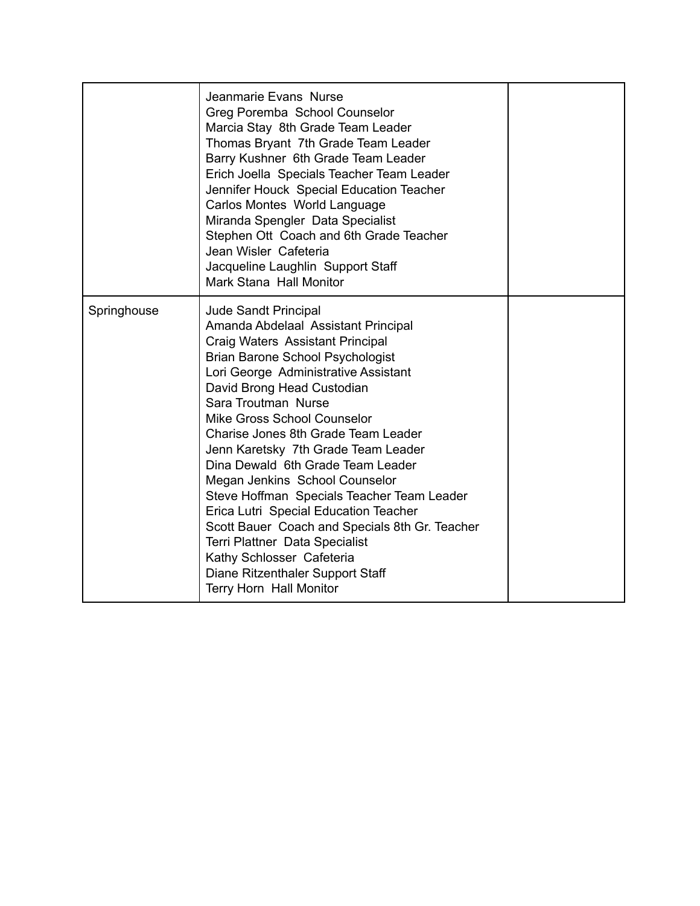|             | Jeanmarie Evans Nurse<br>Greg Poremba School Counselor<br>Marcia Stay 8th Grade Team Leader<br>Thomas Bryant 7th Grade Team Leader<br>Barry Kushner 6th Grade Team Leader<br>Erich Joella Specials Teacher Team Leader<br>Jennifer Houck Special Education Teacher<br>Carlos Montes World Language<br>Miranda Spengler Data Specialist<br>Stephen Ott Coach and 6th Grade Teacher<br>Jean Wisler Cafeteria<br>Jacqueline Laughlin Support Staff<br>Mark Stana Hall Monitor                                                                                                                                                                                                                                |  |
|-------------|-----------------------------------------------------------------------------------------------------------------------------------------------------------------------------------------------------------------------------------------------------------------------------------------------------------------------------------------------------------------------------------------------------------------------------------------------------------------------------------------------------------------------------------------------------------------------------------------------------------------------------------------------------------------------------------------------------------|--|
| Springhouse | <b>Jude Sandt Principal</b><br>Amanda Abdelaal Assistant Principal<br>Craig Waters Assistant Principal<br><b>Brian Barone School Psychologist</b><br>Lori George Administrative Assistant<br>David Brong Head Custodian<br>Sara Troutman Nurse<br>Mike Gross School Counselor<br>Charise Jones 8th Grade Team Leader<br>Jenn Karetsky 7th Grade Team Leader<br>Dina Dewald 6th Grade Team Leader<br>Megan Jenkins School Counselor<br>Steve Hoffman Specials Teacher Team Leader<br>Erica Lutri Special Education Teacher<br>Scott Bauer Coach and Specials 8th Gr. Teacher<br>Terri Plattner Data Specialist<br>Kathy Schlosser Cafeteria<br>Diane Ritzenthaler Support Staff<br>Terry Horn Hall Monitor |  |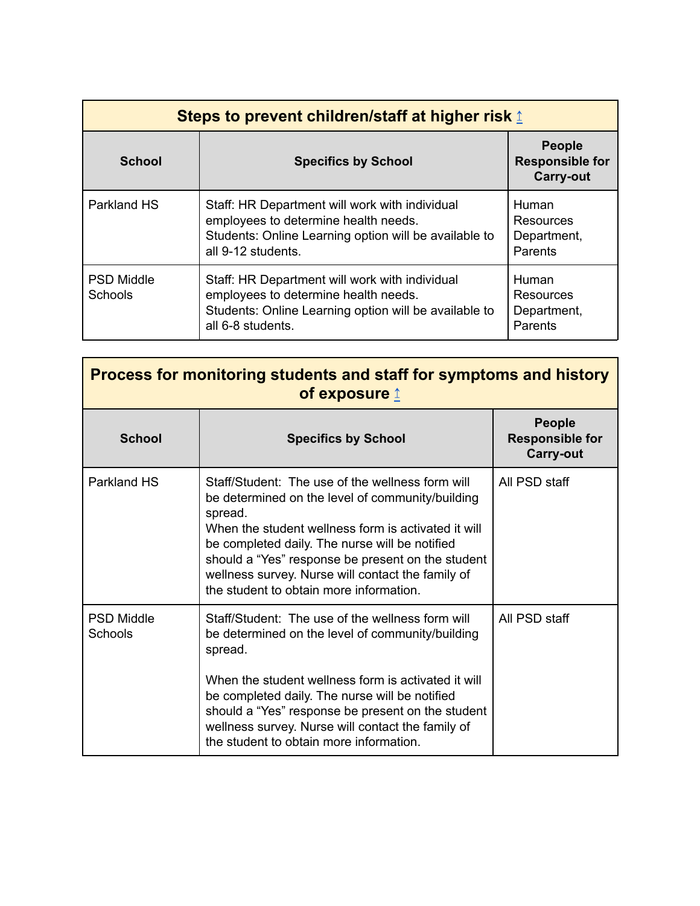<span id="page-3-0"></span>

| <b>Steps to prevent children/staff at higher risk 1</b> |                                                                                                                                                                       |                                                             |
|---------------------------------------------------------|-----------------------------------------------------------------------------------------------------------------------------------------------------------------------|-------------------------------------------------------------|
| <b>School</b>                                           | <b>Specifics by School</b>                                                                                                                                            | <b>People</b><br><b>Responsible for</b><br><b>Carry-out</b> |
| Parkland HS                                             | Staff: HR Department will work with individual<br>employees to determine health needs.<br>Students: Online Learning option will be available to<br>all 9-12 students. | Human<br>Resources<br>Department,<br>Parents                |
| <b>PSD Middle</b><br><b>Schools</b>                     | Staff: HR Department will work with individual<br>employees to determine health needs.<br>Students: Online Learning option will be available to<br>all 6-8 students.  | Human<br>Resources<br>Department,<br>Parents                |

<span id="page-3-1"></span>

| Process for monitoring students and staff for symptoms and history<br>of exposure $\mathbf{\underline{f}}$ |                                                                                                                                                                                                                                                                                                                                                                               |                                                             |
|------------------------------------------------------------------------------------------------------------|-------------------------------------------------------------------------------------------------------------------------------------------------------------------------------------------------------------------------------------------------------------------------------------------------------------------------------------------------------------------------------|-------------------------------------------------------------|
| <b>School</b>                                                                                              | <b>Specifics by School</b>                                                                                                                                                                                                                                                                                                                                                    | <b>People</b><br><b>Responsible for</b><br><b>Carry-out</b> |
| Parkland HS                                                                                                | Staff/Student: The use of the wellness form will<br>be determined on the level of community/building<br>spread.<br>When the student wellness form is activated it will<br>be completed daily. The nurse will be notified<br>should a "Yes" response be present on the student<br>wellness survey. Nurse will contact the family of<br>the student to obtain more information. | All PSD staff                                               |
| <b>PSD Middle</b><br>Schools                                                                               | Staff/Student: The use of the wellness form will<br>be determined on the level of community/building<br>spread.<br>When the student wellness form is activated it will<br>be completed daily. The nurse will be notified<br>should a "Yes" response be present on the student<br>wellness survey. Nurse will contact the family of<br>the student to obtain more information. | All PSD staff                                               |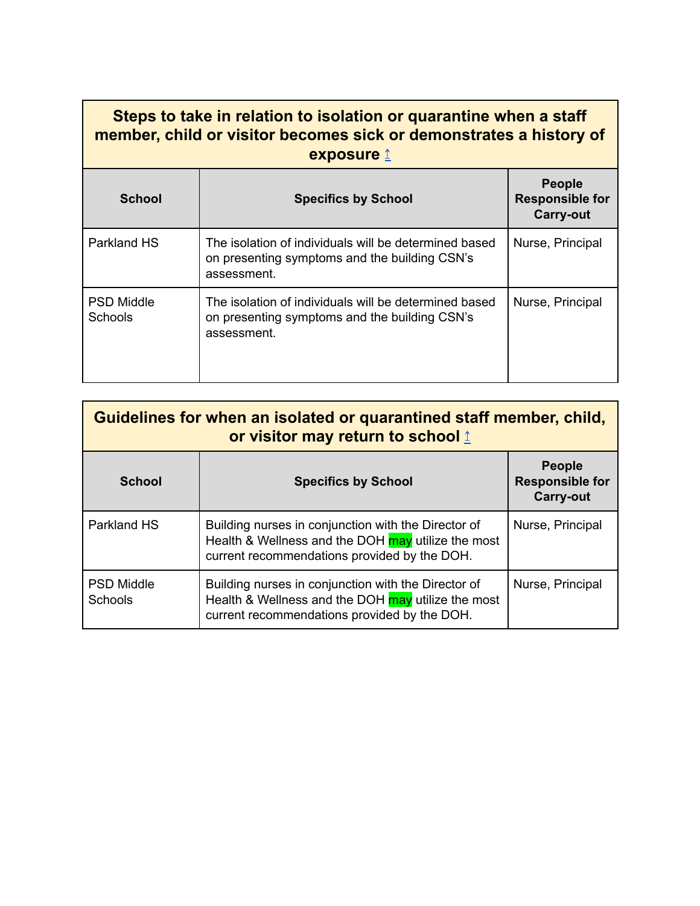### <span id="page-4-0"></span>**Steps to take in relation to isolation or quarantine when a staff member, child or visitor becomes sick or demonstrates a history of exposure** [↥](#page-0-0)

| <b>School</b>                | <b>Specifics by School</b>                                                                                            | <b>People</b><br><b>Responsible for</b><br><b>Carry-out</b> |
|------------------------------|-----------------------------------------------------------------------------------------------------------------------|-------------------------------------------------------------|
| Parkland HS                  | The isolation of individuals will be determined based<br>on presenting symptoms and the building CSN's<br>assessment. | Nurse, Principal                                            |
| <b>PSD Middle</b><br>Schools | The isolation of individuals will be determined based<br>on presenting symptoms and the building CSN's<br>assessment. | Nurse, Principal                                            |

<span id="page-4-1"></span>

| Guidelines for when an isolated or quarantined staff member, child,<br>or visitor may return to school 1 |                                                                                                                                                           |                                                             |
|----------------------------------------------------------------------------------------------------------|-----------------------------------------------------------------------------------------------------------------------------------------------------------|-------------------------------------------------------------|
| <b>School</b>                                                                                            | <b>Specifics by School</b>                                                                                                                                | <b>People</b><br><b>Responsible for</b><br><b>Carry-out</b> |
| Parkland HS                                                                                              | Building nurses in conjunction with the Director of<br>Health & Wellness and the DOH may utilize the most<br>current recommendations provided by the DOH. | Nurse, Principal                                            |
| <b>PSD Middle</b><br><b>Schools</b>                                                                      | Building nurses in conjunction with the Director of<br>Health & Wellness and the DOH may utilize the most<br>current recommendations provided by the DOH. | Nurse, Principal                                            |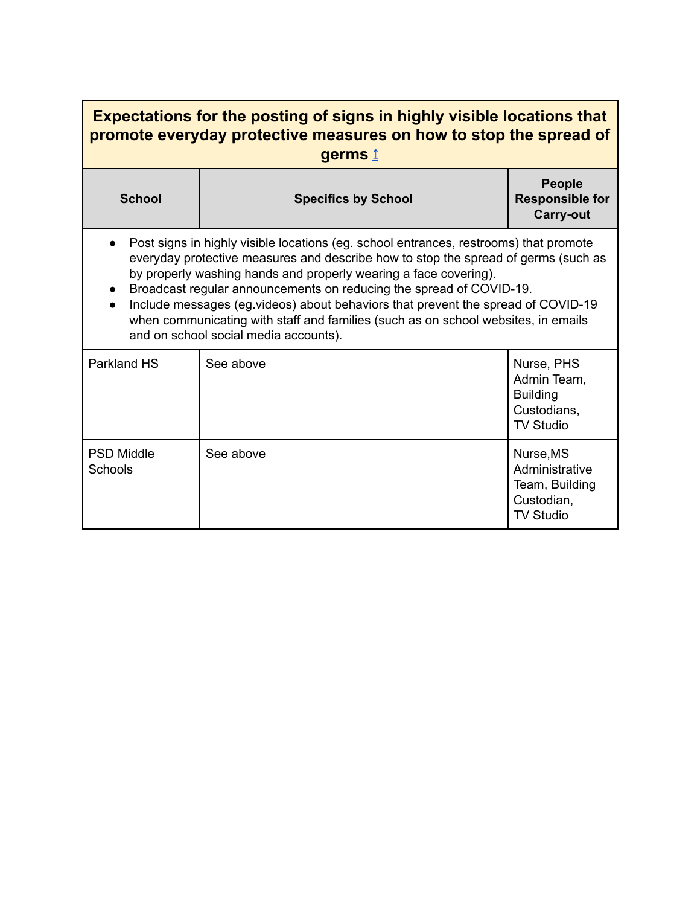<span id="page-5-0"></span>

| <b>Expectations for the posting of signs in highly visible locations that</b><br>promote everyday protective measures on how to stop the spread of<br>germs 1                                                                                                                                                                                                                                                                                                                                                                            |                            |                                                                                 |  |
|------------------------------------------------------------------------------------------------------------------------------------------------------------------------------------------------------------------------------------------------------------------------------------------------------------------------------------------------------------------------------------------------------------------------------------------------------------------------------------------------------------------------------------------|----------------------------|---------------------------------------------------------------------------------|--|
| <b>School</b>                                                                                                                                                                                                                                                                                                                                                                                                                                                                                                                            | <b>Specifics by School</b> | <b>People</b><br><b>Responsible for</b><br><b>Carry-out</b>                     |  |
| Post signs in highly visible locations (eg. school entrances, restrooms) that promote<br>everyday protective measures and describe how to stop the spread of germs (such as<br>by properly washing hands and properly wearing a face covering).<br>Broadcast regular announcements on reducing the spread of COVID-19.<br>Include messages (eg.videos) about behaviors that prevent the spread of COVID-19<br>when communicating with staff and families (such as on school websites, in emails<br>and on school social media accounts). |                            |                                                                                 |  |
| Parkland HS                                                                                                                                                                                                                                                                                                                                                                                                                                                                                                                              | See above                  | Nurse, PHS<br>Admin Team,<br><b>Building</b><br>Custodians,<br><b>TV Studio</b> |  |
| <b>PSD Middle</b><br>Schools                                                                                                                                                                                                                                                                                                                                                                                                                                                                                                             | See above                  | Nurse, MS<br>Administrative<br>Team, Building<br>Custodian,<br><b>TV Studio</b> |  |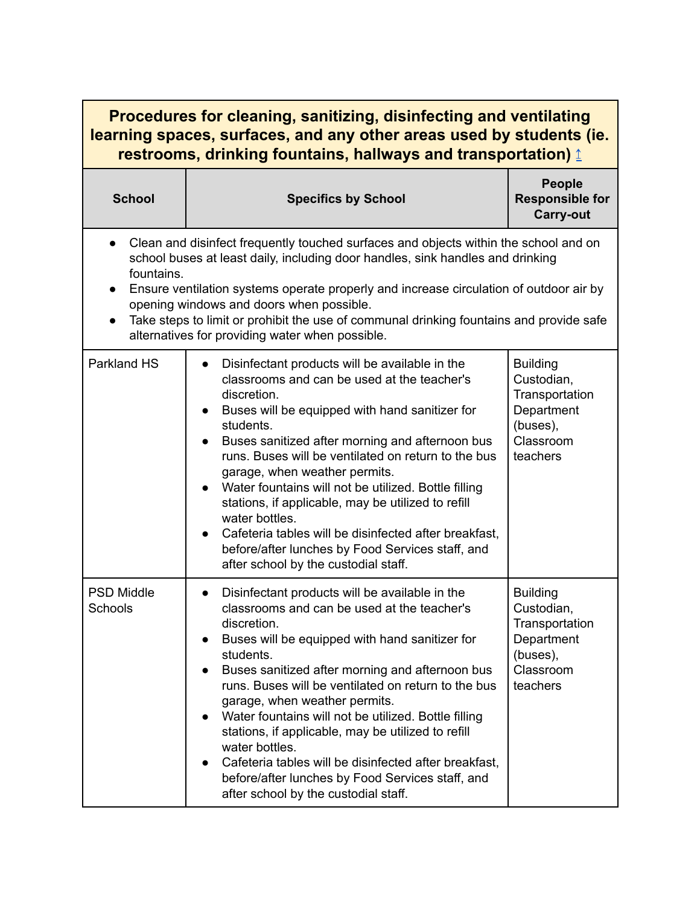<span id="page-6-0"></span>

| <b>Procedures for cleaning, sanitizing, disinfecting and ventilating</b><br>learning spaces, surfaces, and any other areas used by students (ie.<br>restrooms, drinking fountains, hallways and transportation) ₫                                                                                                                                                                                                                                                                                  |                                                                                                                                                                                                                                                                                                                                                                                                                                                                                                                                                                                                                                                                 |                                                                                                    |
|----------------------------------------------------------------------------------------------------------------------------------------------------------------------------------------------------------------------------------------------------------------------------------------------------------------------------------------------------------------------------------------------------------------------------------------------------------------------------------------------------|-----------------------------------------------------------------------------------------------------------------------------------------------------------------------------------------------------------------------------------------------------------------------------------------------------------------------------------------------------------------------------------------------------------------------------------------------------------------------------------------------------------------------------------------------------------------------------------------------------------------------------------------------------------------|----------------------------------------------------------------------------------------------------|
| <b>School</b>                                                                                                                                                                                                                                                                                                                                                                                                                                                                                      | <b>Specifics by School</b>                                                                                                                                                                                                                                                                                                                                                                                                                                                                                                                                                                                                                                      | <b>People</b><br><b>Responsible for</b><br><b>Carry-out</b>                                        |
| Clean and disinfect frequently touched surfaces and objects within the school and on<br>$\bullet$<br>school buses at least daily, including door handles, sink handles and drinking<br>fountains.<br>Ensure ventilation systems operate properly and increase circulation of outdoor air by<br>$\bullet$<br>opening windows and doors when possible.<br>Take steps to limit or prohibit the use of communal drinking fountains and provide safe<br>alternatives for providing water when possible. |                                                                                                                                                                                                                                                                                                                                                                                                                                                                                                                                                                                                                                                                 |                                                                                                    |
| Parkland HS                                                                                                                                                                                                                                                                                                                                                                                                                                                                                        | Disinfectant products will be available in the<br>classrooms and can be used at the teacher's<br>discretion.<br>Buses will be equipped with hand sanitizer for<br>students.<br>Buses sanitized after morning and afternoon bus<br>runs. Buses will be ventilated on return to the bus<br>garage, when weather permits.<br>Water fountains will not be utilized. Bottle filling<br>stations, if applicable, may be utilized to refill<br>water bottles.<br>Cafeteria tables will be disinfected after breakfast,<br>before/after lunches by Food Services staff, and<br>after school by the custodial staff.                                                     | <b>Building</b><br>Custodian,<br>Transportation<br>Department<br>(buses),<br>Classroom<br>teachers |
| <b>PSD Middle</b><br>Schools                                                                                                                                                                                                                                                                                                                                                                                                                                                                       | Disinfectant products will be available in the<br>$\bullet$<br>classrooms and can be used at the teacher's<br>discretion.<br>Buses will be equipped with hand sanitizer for<br>students.<br>Buses sanitized after morning and afternoon bus<br>$\bullet$<br>runs. Buses will be ventilated on return to the bus<br>garage, when weather permits.<br>Water fountains will not be utilized. Bottle filling<br>$\bullet$<br>stations, if applicable, may be utilized to refill<br>water bottles.<br>Cafeteria tables will be disinfected after breakfast,<br>$\bullet$<br>before/after lunches by Food Services staff, and<br>after school by the custodial staff. | <b>Building</b><br>Custodian,<br>Transportation<br>Department<br>(buses),<br>Classroom<br>teachers |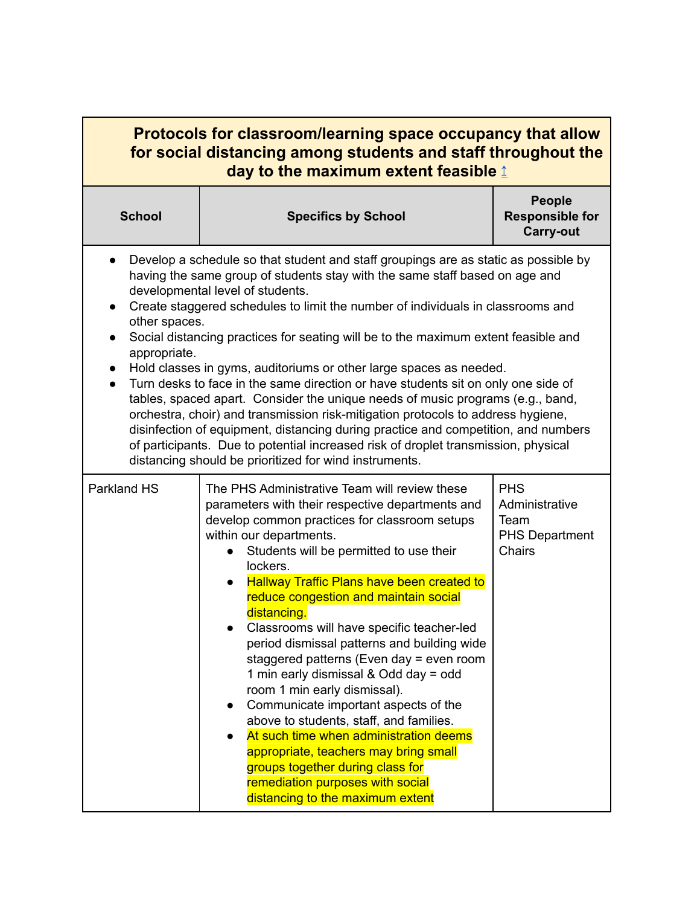<span id="page-7-0"></span>

| <b>Protocols for classroom/learning space occupancy that allow</b><br>for social distancing among students and staff throughout the<br>day to the maximum extent feasible $\mathbf{\underline{f}}$                                                                                                                                                                                                                                                                                                                                                                                                                                                                                                                                                                                                                                                                                                                                                                                                   |                                                                                                                                                                                                                                                                                                                                                                                                                                                                                                                                                                                                                                                                                                                                                                                                                                                      |                                                                                |
|------------------------------------------------------------------------------------------------------------------------------------------------------------------------------------------------------------------------------------------------------------------------------------------------------------------------------------------------------------------------------------------------------------------------------------------------------------------------------------------------------------------------------------------------------------------------------------------------------------------------------------------------------------------------------------------------------------------------------------------------------------------------------------------------------------------------------------------------------------------------------------------------------------------------------------------------------------------------------------------------------|------------------------------------------------------------------------------------------------------------------------------------------------------------------------------------------------------------------------------------------------------------------------------------------------------------------------------------------------------------------------------------------------------------------------------------------------------------------------------------------------------------------------------------------------------------------------------------------------------------------------------------------------------------------------------------------------------------------------------------------------------------------------------------------------------------------------------------------------------|--------------------------------------------------------------------------------|
| <b>School</b>                                                                                                                                                                                                                                                                                                                                                                                                                                                                                                                                                                                                                                                                                                                                                                                                                                                                                                                                                                                        | <b>Specifics by School</b>                                                                                                                                                                                                                                                                                                                                                                                                                                                                                                                                                                                                                                                                                                                                                                                                                           | <b>People</b><br><b>Responsible for</b><br><b>Carry-out</b>                    |
| Develop a schedule so that student and staff groupings are as static as possible by<br>having the same group of students stay with the same staff based on age and<br>developmental level of students.<br>Create staggered schedules to limit the number of individuals in classrooms and<br>$\bullet$<br>other spaces.<br>Social distancing practices for seating will be to the maximum extent feasible and<br>appropriate.<br>Hold classes in gyms, auditoriums or other large spaces as needed.<br>Turn desks to face in the same direction or have students sit on only one side of<br>tables, spaced apart. Consider the unique needs of music programs (e.g., band,<br>orchestra, choir) and transmission risk-mitigation protocols to address hygiene,<br>disinfection of equipment, distancing during practice and competition, and numbers<br>of participants. Due to potential increased risk of droplet transmission, physical<br>distancing should be prioritized for wind instruments. |                                                                                                                                                                                                                                                                                                                                                                                                                                                                                                                                                                                                                                                                                                                                                                                                                                                      |                                                                                |
| Parkland HS                                                                                                                                                                                                                                                                                                                                                                                                                                                                                                                                                                                                                                                                                                                                                                                                                                                                                                                                                                                          | The PHS Administrative Team will review these<br>parameters with their respective departments and<br>develop common practices for classroom setups<br>within our departments.<br>Students will be permitted to use their<br>lockers.<br><b>Hallway Traffic Plans have been created to</b><br>reduce congestion and maintain social<br>distancing.<br>Classrooms will have specific teacher-led<br>period dismissal patterns and building wide<br>staggered patterns (Even day = even room<br>1 min early dismissal & Odd day = odd<br>room 1 min early dismissal).<br>Communicate important aspects of the<br>above to students, staff, and families.<br>At such time when administration deems<br>appropriate, teachers may bring small<br>groups together during class for<br>remediation purposes with social<br>distancing to the maximum extent | <b>PHS</b><br>Administrative<br>Team<br><b>PHS Department</b><br><b>Chairs</b> |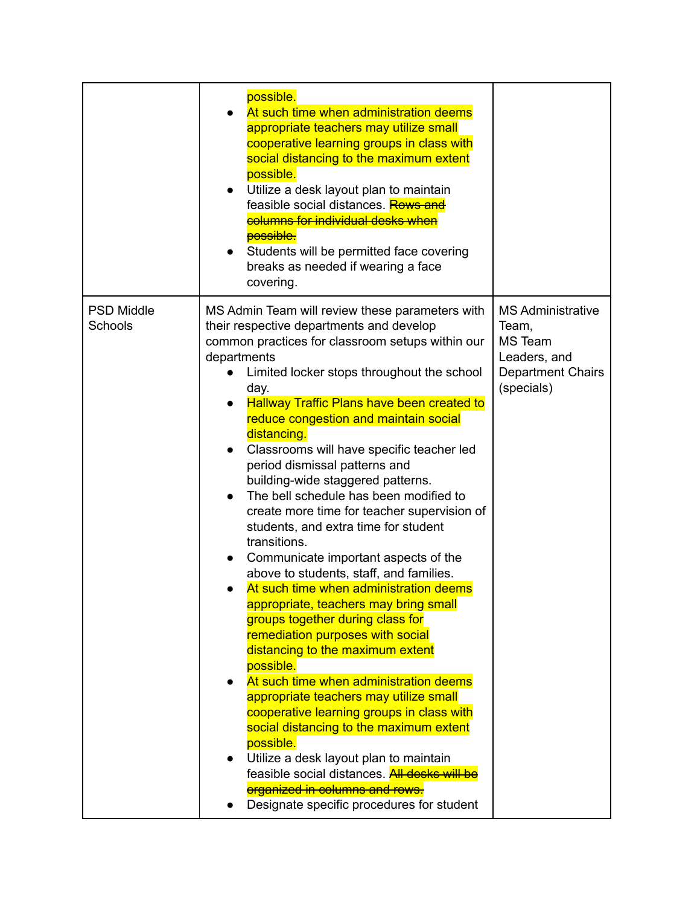|                              | possible.<br>At such time when administration deems<br>appropriate teachers may utilize small<br>cooperative learning groups in class with<br>social distancing to the maximum extent<br>possible.<br>Utilize a desk layout plan to maintain<br>$\bullet$<br>feasible social distances. <b>Rows and</b><br>columns for individual desks when<br><b>possible</b> :<br>Students will be permitted face covering<br>$\bullet$<br>breaks as needed if wearing a face<br>covering.                                                                                                                                                                                                                                                                                                                                                                                                                                                                                                                                                                                                                                                                                                                                                                                                       |                                                                                                               |
|------------------------------|-------------------------------------------------------------------------------------------------------------------------------------------------------------------------------------------------------------------------------------------------------------------------------------------------------------------------------------------------------------------------------------------------------------------------------------------------------------------------------------------------------------------------------------------------------------------------------------------------------------------------------------------------------------------------------------------------------------------------------------------------------------------------------------------------------------------------------------------------------------------------------------------------------------------------------------------------------------------------------------------------------------------------------------------------------------------------------------------------------------------------------------------------------------------------------------------------------------------------------------------------------------------------------------|---------------------------------------------------------------------------------------------------------------|
| <b>PSD Middle</b><br>Schools | MS Admin Team will review these parameters with<br>their respective departments and develop<br>common practices for classroom setups within our<br>departments<br>Limited locker stops throughout the school<br>day.<br><b>Hallway Traffic Plans have been created to</b><br>reduce congestion and maintain social<br>distancing.<br>Classrooms will have specific teacher led<br>period dismissal patterns and<br>building-wide staggered patterns.<br>The bell schedule has been modified to<br>$\bullet$<br>create more time for teacher supervision of<br>students, and extra time for student<br>transitions.<br>Communicate important aspects of the<br>above to students, staff, and families.<br>At such time when administration deems<br>appropriate, teachers may bring small<br>groups together during class for<br>remediation purposes with social<br>distancing to the maximum extent<br>possible.<br>At such time when administration deems<br>appropriate teachers may utilize small<br>cooperative learning groups in class with<br>social distancing to the maximum extent<br>possible.<br>Utilize a desk layout plan to maintain<br>feasible social distances. All desks will be<br>organized in columns and rows.<br>Designate specific procedures for student | <b>MS Administrative</b><br>Team,<br><b>MS Team</b><br>Leaders, and<br><b>Department Chairs</b><br>(specials) |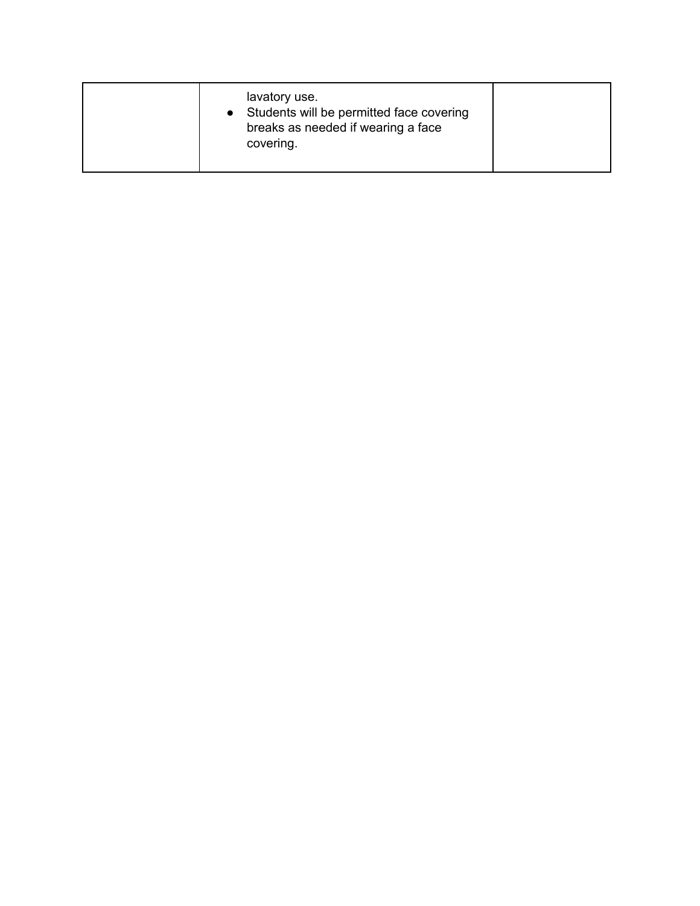| lavatory use.<br>• Students will be permitted face covering<br>breaks as needed if wearing a face<br>covering. |  |
|----------------------------------------------------------------------------------------------------------------|--|
|                                                                                                                |  |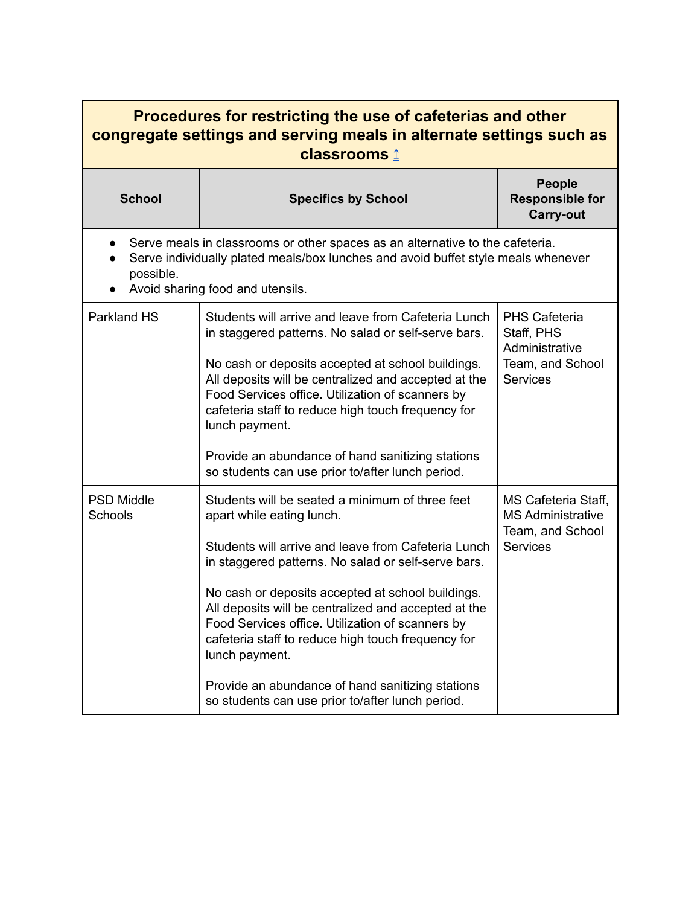<span id="page-10-0"></span>

| Procedures for restricting the use of cafeterias and other<br>congregate settings and serving meals in alternate settings such as<br>classrooms 1                                                                   |                                                                                                                                                                                                                                                                                                                                                                                                                                                                                                                                             |                                                                                             |  |
|---------------------------------------------------------------------------------------------------------------------------------------------------------------------------------------------------------------------|---------------------------------------------------------------------------------------------------------------------------------------------------------------------------------------------------------------------------------------------------------------------------------------------------------------------------------------------------------------------------------------------------------------------------------------------------------------------------------------------------------------------------------------------|---------------------------------------------------------------------------------------------|--|
| <b>School</b>                                                                                                                                                                                                       | <b>Specifics by School</b>                                                                                                                                                                                                                                                                                                                                                                                                                                                                                                                  | <b>People</b><br><b>Responsible for</b><br><b>Carry-out</b>                                 |  |
| Serve meals in classrooms or other spaces as an alternative to the cafeteria.<br>Serve individually plated meals/box lunches and avoid buffet style meals whenever<br>possible.<br>Avoid sharing food and utensils. |                                                                                                                                                                                                                                                                                                                                                                                                                                                                                                                                             |                                                                                             |  |
| Parkland HS                                                                                                                                                                                                         | Students will arrive and leave from Cafeteria Lunch<br>in staggered patterns. No salad or self-serve bars.<br>No cash or deposits accepted at school buildings.<br>All deposits will be centralized and accepted at the<br>Food Services office. Utilization of scanners by<br>cafeteria staff to reduce high touch frequency for<br>lunch payment.<br>Provide an abundance of hand sanitizing stations<br>so students can use prior to/after lunch period.                                                                                 | <b>PHS Cafeteria</b><br>Staff, PHS<br>Administrative<br>Team, and School<br><b>Services</b> |  |
| <b>PSD Middle</b><br>Schools                                                                                                                                                                                        | Students will be seated a minimum of three feet<br>apart while eating lunch.<br>Students will arrive and leave from Cafeteria Lunch<br>in staggered patterns. No salad or self-serve bars.<br>No cash or deposits accepted at school buildings.<br>All deposits will be centralized and accepted at the<br>Food Services office. Utilization of scanners by<br>cafeteria staff to reduce high touch frequency for<br>lunch payment.<br>Provide an abundance of hand sanitizing stations<br>so students can use prior to/after lunch period. | MS Cafeteria Staff,<br><b>MS Administrative</b><br>Team, and School<br><b>Services</b>      |  |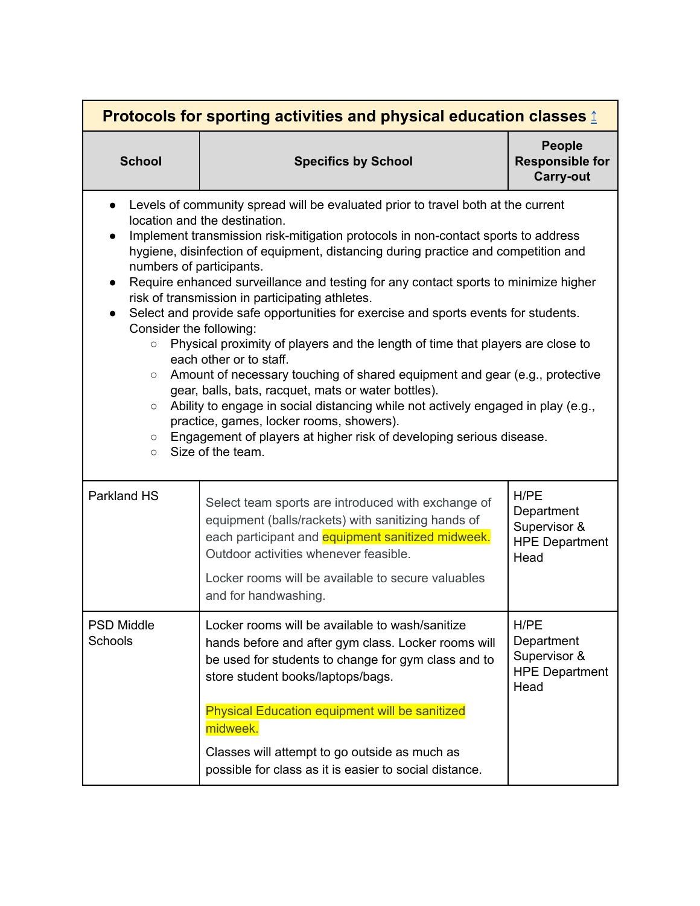<span id="page-11-0"></span>

| Protocols for sporting activities and physical education classes $\hat{\mathbb{I}}$                                                  |                                                                                                                                                                                                                                                                                                                                                                                                                                                                                                                                                                                                                                                                                                                                                                                                                                                                                                                                                                                                             |                                                                     |
|--------------------------------------------------------------------------------------------------------------------------------------|-------------------------------------------------------------------------------------------------------------------------------------------------------------------------------------------------------------------------------------------------------------------------------------------------------------------------------------------------------------------------------------------------------------------------------------------------------------------------------------------------------------------------------------------------------------------------------------------------------------------------------------------------------------------------------------------------------------------------------------------------------------------------------------------------------------------------------------------------------------------------------------------------------------------------------------------------------------------------------------------------------------|---------------------------------------------------------------------|
| <b>School</b>                                                                                                                        | <b>Specifics by School</b>                                                                                                                                                                                                                                                                                                                                                                                                                                                                                                                                                                                                                                                                                                                                                                                                                                                                                                                                                                                  | <b>People</b><br><b>Responsible for</b><br><b>Carry-out</b>         |
| $\bullet$<br>numbers of participants.<br>$\bullet$<br>Consider the following:<br>$\circ$<br>$\circ$<br>$\circ$<br>$\circ$<br>$\circ$ | Levels of community spread will be evaluated prior to travel both at the current<br>location and the destination.<br>Implement transmission risk-mitigation protocols in non-contact sports to address<br>hygiene, disinfection of equipment, distancing during practice and competition and<br>Require enhanced surveillance and testing for any contact sports to minimize higher<br>risk of transmission in participating athletes.<br>Select and provide safe opportunities for exercise and sports events for students.<br>Physical proximity of players and the length of time that players are close to<br>each other or to staff.<br>Amount of necessary touching of shared equipment and gear (e.g., protective<br>gear, balls, bats, racquet, mats or water bottles).<br>Ability to engage in social distancing while not actively engaged in play (e.g.,<br>practice, games, locker rooms, showers).<br>Engagement of players at higher risk of developing serious disease.<br>Size of the team. |                                                                     |
| <b>Parkland HS</b>                                                                                                                   | Select team sports are introduced with exchange of<br>equipment (balls/rackets) with sanitizing hands of<br>each participant and equipment sanitized midweek.<br>Outdoor activities whenever feasible.<br>Locker rooms will be available to secure valuables<br>and for handwashing.                                                                                                                                                                                                                                                                                                                                                                                                                                                                                                                                                                                                                                                                                                                        | H/PE<br>Department<br>Supervisor &<br><b>HPE Department</b><br>Head |
| <b>PSD Middle</b><br>Schools                                                                                                         | Locker rooms will be available to wash/sanitize<br>hands before and after gym class. Locker rooms will<br>be used for students to change for gym class and to<br>store student books/laptops/bags.<br><b>Physical Education equipment will be sanitized</b><br>midweek.<br>Classes will attempt to go outside as much as<br>possible for class as it is easier to social distance.                                                                                                                                                                                                                                                                                                                                                                                                                                                                                                                                                                                                                          | H/PE<br>Department<br>Supervisor &<br><b>HPE Department</b><br>Head |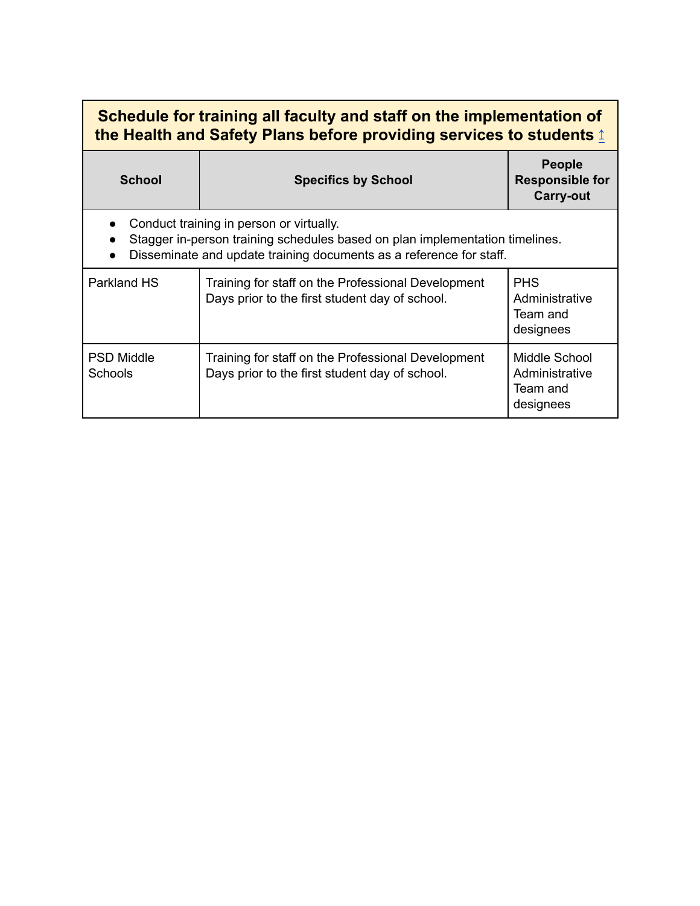<span id="page-12-0"></span>

| Schedule for training all faculty and staff on the implementation of<br>the Health and Safety Plans before providing services to students 1                                                     |                                                                                                      |                                                             |  |
|-------------------------------------------------------------------------------------------------------------------------------------------------------------------------------------------------|------------------------------------------------------------------------------------------------------|-------------------------------------------------------------|--|
| <b>School</b>                                                                                                                                                                                   | <b>Specifics by School</b>                                                                           | <b>People</b><br><b>Responsible for</b><br><b>Carry-out</b> |  |
| Conduct training in person or virtually.<br>Stagger in-person training schedules based on plan implementation timelines.<br>Disseminate and update training documents as a reference for staff. |                                                                                                      |                                                             |  |
| Parkland HS                                                                                                                                                                                     | Training for staff on the Professional Development<br>Days prior to the first student day of school. | <b>PHS</b><br>Administrative<br>Team and<br>designees       |  |
| <b>PSD Middle</b><br><b>Schools</b>                                                                                                                                                             | Training for staff on the Professional Development<br>Days prior to the first student day of school. | Middle School<br>Administrative<br>Team and<br>designees    |  |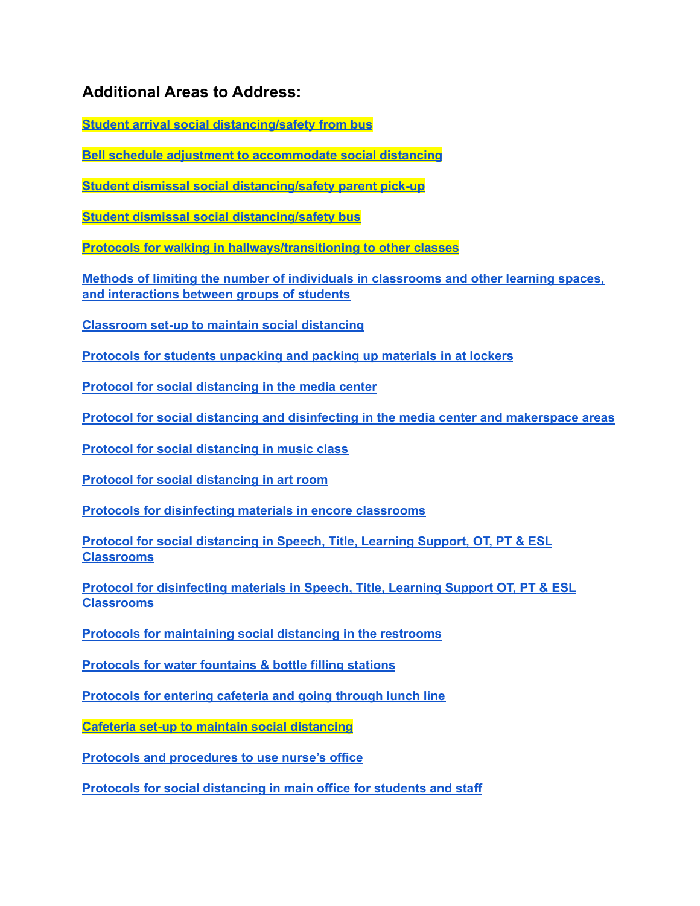### <span id="page-13-0"></span>**Additional Areas to Address:**

**Student arrival social [distancing/safety](#page-15-0) from bus**

**Bell schedule adjustment to [accommodate](#page-16-0) social distancing**

**Student dismissal social [distancing/safety](#page-17-0) parent pick-up**

**Student dismissal social [distancing/safety](#page-18-0) bus**

**Protocols for walking in [hallways/transitioning](#page-19-0) to other classes**

**Methods of limiting the number of individuals in [classrooms](#page-20-0) and other learning spaces, and [interactions](#page-20-0) between groups of students**

**[Classroom](#page-20-1) set-up to maintain social distancing**

**Protocols for students [unpacking](#page-21-0) and packing up materials in at lockers**

**Protocol for social [distancing](#page-22-0) in the media center**

**Protocol for social distancing and disinfecting in the media center and [makerspace](#page-23-0) areas**

**Protocol for social [distancing](#page-24-0) in music class**

**Protocol for social [distancing](#page-25-0) in art room**

**Protocols for [disinfecting](#page-25-1) materials in encore classrooms**

**Protocol for social [distancing](#page-26-0) in Speech, Title, Learning Support, OT, PT & ESL [Classrooms](#page-26-0)**

**Protocol for [disinfecting](#page-26-1) materials in Speech, Title, Learning Support OT, PT & ESL [Classrooms](#page-26-1)**

**Protocols for [maintaining](#page-26-1) social distancing in the restrooms**

**[Protocols](#page-27-0) for water fountains & bottle filling stations**

**[Protocols](#page-28-0) for entering cafeteria and going through lunch line**

**Cafeteria set-up to maintain social [distancing](#page-28-1)**

**Protocols and [procedures](#page-29-0) to use nurse's office**

**Protocols for social [distancing](#page-29-1) in main office for students and staff**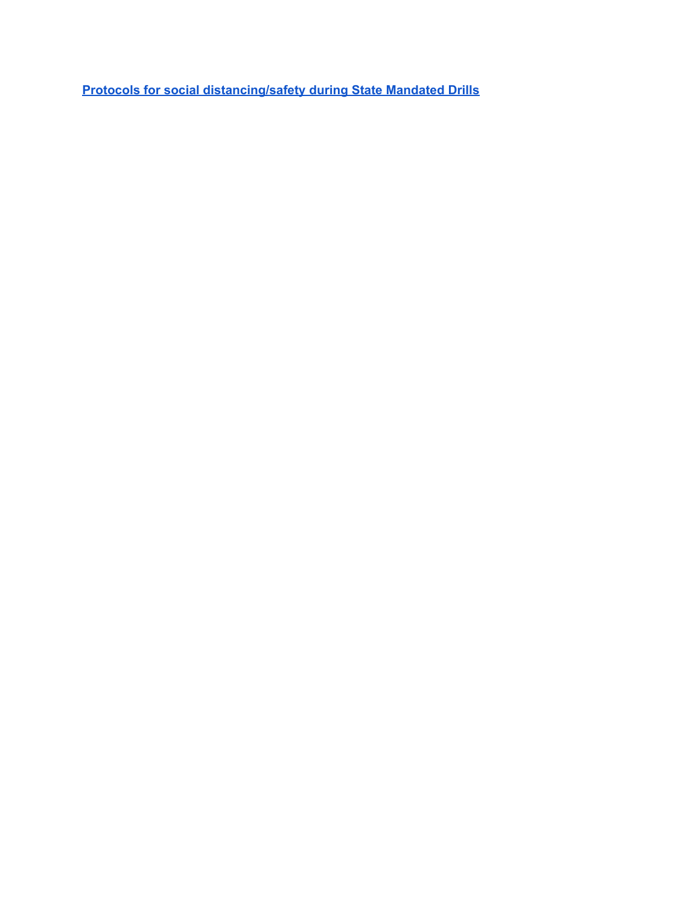**Protocols for social [distancing/safety](#page-30-0) during State Mandated Drills**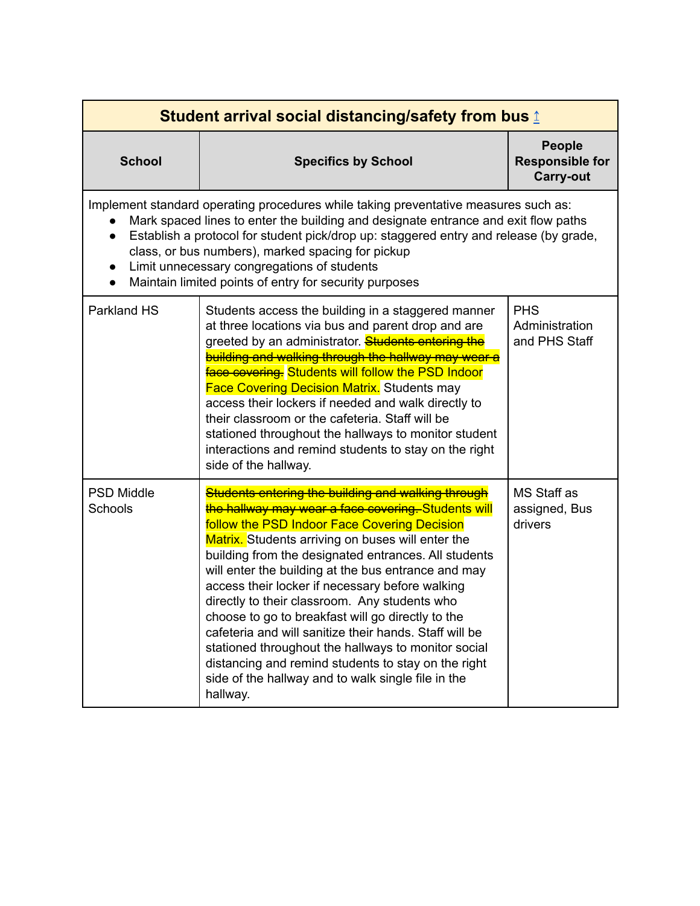<span id="page-15-0"></span>

| <b>Student arrival social distancing/safety from bus 1</b>                                                                                                                                                                                                                                                                                                                                                                       |                                                                                                                                                                                                                                                                                                                                                                                                                                                                                                                                                                                                                                                                                                                                  |                                                             |
|----------------------------------------------------------------------------------------------------------------------------------------------------------------------------------------------------------------------------------------------------------------------------------------------------------------------------------------------------------------------------------------------------------------------------------|----------------------------------------------------------------------------------------------------------------------------------------------------------------------------------------------------------------------------------------------------------------------------------------------------------------------------------------------------------------------------------------------------------------------------------------------------------------------------------------------------------------------------------------------------------------------------------------------------------------------------------------------------------------------------------------------------------------------------------|-------------------------------------------------------------|
| <b>School</b>                                                                                                                                                                                                                                                                                                                                                                                                                    | <b>Specifics by School</b>                                                                                                                                                                                                                                                                                                                                                                                                                                                                                                                                                                                                                                                                                                       | <b>People</b><br><b>Responsible for</b><br><b>Carry-out</b> |
| Implement standard operating procedures while taking preventative measures such as:<br>Mark spaced lines to enter the building and designate entrance and exit flow paths<br>Establish a protocol for student pick/drop up: staggered entry and release (by grade,<br>class, or bus numbers), marked spacing for pickup<br>Limit unnecessary congregations of students<br>Maintain limited points of entry for security purposes |                                                                                                                                                                                                                                                                                                                                                                                                                                                                                                                                                                                                                                                                                                                                  |                                                             |
| <b>Parkland HS</b>                                                                                                                                                                                                                                                                                                                                                                                                               | Students access the building in a staggered manner<br>at three locations via bus and parent drop and are<br>greeted by an administrator. <b>Students entering the</b><br>building and walking through the hallway may wear a<br><b>Face covering.</b> Students will follow the PSD Indoor<br><b>Face Covering Decision Matrix.</b> Students may<br>access their lockers if needed and walk directly to<br>their classroom or the cafeteria. Staff will be<br>stationed throughout the hallways to monitor student<br>interactions and remind students to stay on the right<br>side of the hallway.                                                                                                                               | <b>PHS</b><br>Administration<br>and PHS Staff               |
| <b>PSD Middle</b><br>Schools                                                                                                                                                                                                                                                                                                                                                                                                     | Students entering the building and walking through<br>the hallway may wear a face covering. Students will<br>follow the PSD Indoor Face Covering Decision<br>Matrix. Students arriving on buses will enter the<br>building from the designated entrances. All students<br>will enter the building at the bus entrance and may<br>access their locker if necessary before walking<br>directly to their classroom. Any students who<br>choose to go to breakfast will go directly to the<br>cafeteria and will sanitize their hands. Staff will be<br>stationed throughout the hallways to monitor social<br>distancing and remind students to stay on the right<br>side of the hallway and to walk single file in the<br>hallway. | MS Staff as<br>assigned, Bus<br>drivers                     |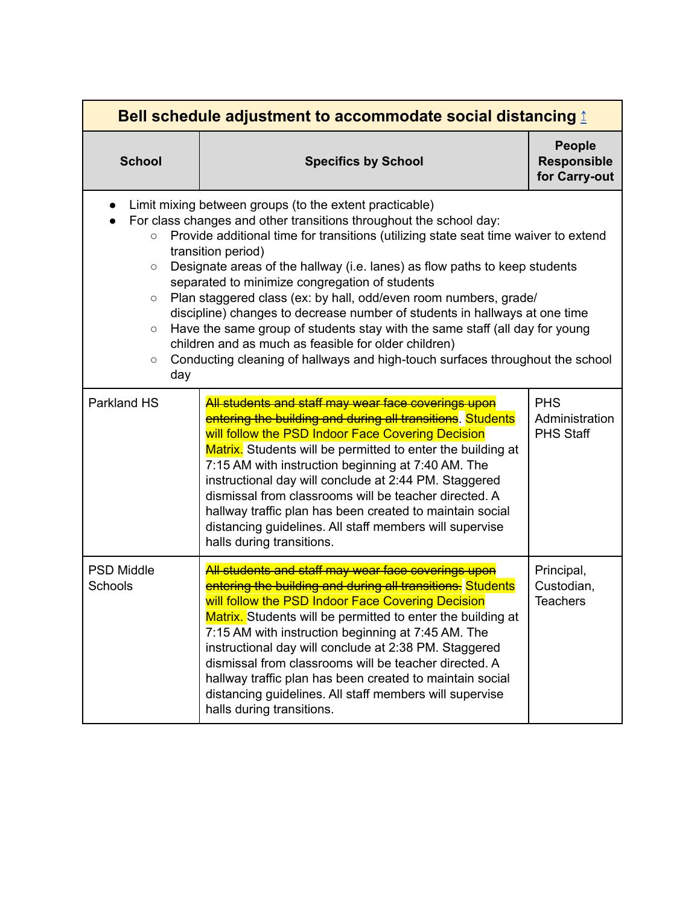<span id="page-16-0"></span>

| Bell schedule adjustment to accommodate social distancing 1             |                                                                                                                                                                                                                                                                                                                                                                                                                                                                                                                                                                                                                                                                                                                                                      |                                                      |
|-------------------------------------------------------------------------|------------------------------------------------------------------------------------------------------------------------------------------------------------------------------------------------------------------------------------------------------------------------------------------------------------------------------------------------------------------------------------------------------------------------------------------------------------------------------------------------------------------------------------------------------------------------------------------------------------------------------------------------------------------------------------------------------------------------------------------------------|------------------------------------------------------|
| <b>School</b>                                                           | <b>Specifics by School</b>                                                                                                                                                                                                                                                                                                                                                                                                                                                                                                                                                                                                                                                                                                                           | <b>People</b><br><b>Responsible</b><br>for Carry-out |
| $\bullet$<br>$\circ$<br>$\circ$<br>$\circ$<br>$\circ$<br>$\circ$<br>day | Limit mixing between groups (to the extent practicable)<br>For class changes and other transitions throughout the school day:<br>Provide additional time for transitions (utilizing state seat time waiver to extend<br>transition period)<br>Designate areas of the hallway (i.e. lanes) as flow paths to keep students<br>separated to minimize congregation of students<br>Plan staggered class (ex: by hall, odd/even room numbers, grade/<br>discipline) changes to decrease number of students in hallways at one time<br>Have the same group of students stay with the same staff (all day for young<br>children and as much as feasible for older children)<br>Conducting cleaning of hallways and high-touch surfaces throughout the school |                                                      |
| Parkland HS                                                             | All students and staff may wear face coverings upon<br>entering the building and during all transitions. Students<br>will follow the PSD Indoor Face Covering Decision<br>Matrix. Students will be permitted to enter the building at<br>7:15 AM with instruction beginning at 7:40 AM. The<br>instructional day will conclude at 2:44 PM. Staggered<br>dismissal from classrooms will be teacher directed. A<br>hallway traffic plan has been created to maintain social<br>distancing guidelines. All staff members will supervise<br>halls during transitions.                                                                                                                                                                                    | <b>PHS</b><br>Administration<br><b>PHS Staff</b>     |
| <b>PSD Middle</b><br>Schools                                            | All students and staff may wear face coverings upon<br>entering the building and during all transitions. Students<br>will follow the PSD Indoor Face Covering Decision<br>Matrix. Students will be permitted to enter the building at<br>7:15 AM with instruction beginning at 7:45 AM. The<br>instructional day will conclude at 2:38 PM. Staggered<br>dismissal from classrooms will be teacher directed. A<br>hallway traffic plan has been created to maintain social<br>distancing guidelines. All staff members will supervise<br>halls during transitions.                                                                                                                                                                                    | Principal,<br>Custodian,<br><b>Teachers</b>          |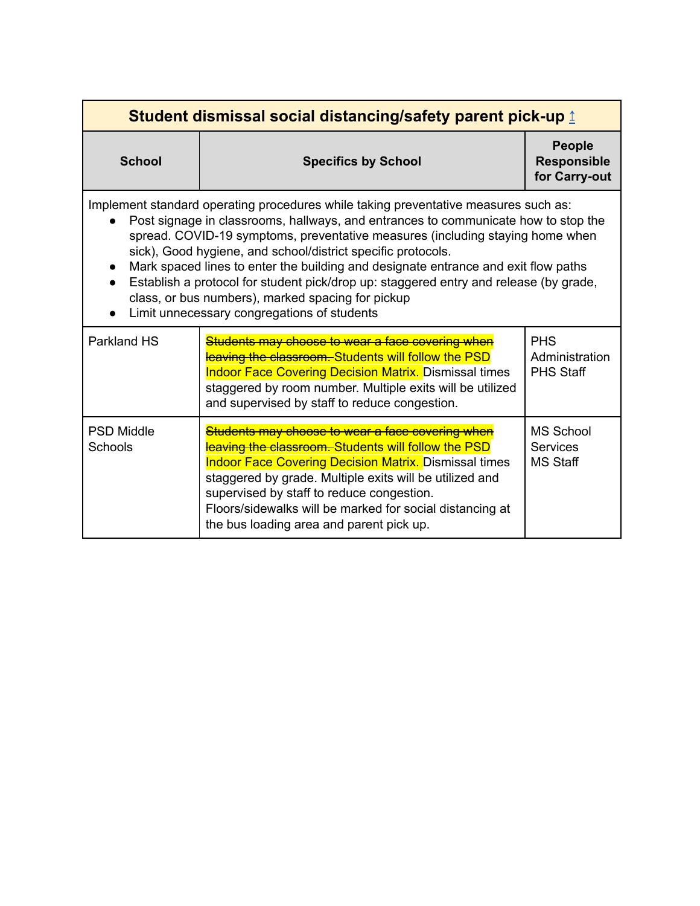<span id="page-17-0"></span>

| <b>School</b>                                                                                                                                                                                                                                                                                                                                                                                                                                                                                                                                                                                                 | <b>Specifics by School</b>                                                                                                                                                                                                                                                                                                                                                              | <b>People</b><br><b>Responsible</b><br>for Carry-out   |
|---------------------------------------------------------------------------------------------------------------------------------------------------------------------------------------------------------------------------------------------------------------------------------------------------------------------------------------------------------------------------------------------------------------------------------------------------------------------------------------------------------------------------------------------------------------------------------------------------------------|-----------------------------------------------------------------------------------------------------------------------------------------------------------------------------------------------------------------------------------------------------------------------------------------------------------------------------------------------------------------------------------------|--------------------------------------------------------|
| Implement standard operating procedures while taking preventative measures such as:<br>Post signage in classrooms, hallways, and entrances to communicate how to stop the<br>spread. COVID-19 symptoms, preventative measures (including staying home when<br>sick), Good hygiene, and school/district specific protocols.<br>Mark spaced lines to enter the building and designate entrance and exit flow paths<br>Establish a protocol for student pick/drop up: staggered entry and release (by grade,<br>class, or bus numbers), marked spacing for pickup<br>Limit unnecessary congregations of students |                                                                                                                                                                                                                                                                                                                                                                                         |                                                        |
| <b>Parkland HS</b>                                                                                                                                                                                                                                                                                                                                                                                                                                                                                                                                                                                            | Students may choose to wear a face covering when<br>leaving the classroom. Students will follow the PSD<br><b>Indoor Face Covering Decision Matrix.</b> Dismissal times<br>staggered by room number. Multiple exits will be utilized<br>and supervised by staff to reduce congestion.                                                                                                   | <b>PHS</b><br>Administration<br><b>PHS Staff</b>       |
| <b>PSD Middle</b><br><b>Schools</b>                                                                                                                                                                                                                                                                                                                                                                                                                                                                                                                                                                           | Students may choose to wear a face covering when<br>leaving the classroom. Students will follow the PSD<br><b>Indoor Face Covering Decision Matrix.</b> Dismissal times<br>staggered by grade. Multiple exits will be utilized and<br>supervised by staff to reduce congestion.<br>Floors/sidewalks will be marked for social distancing at<br>the bus loading area and parent pick up. | <b>MS School</b><br><b>Services</b><br><b>MS Staff</b> |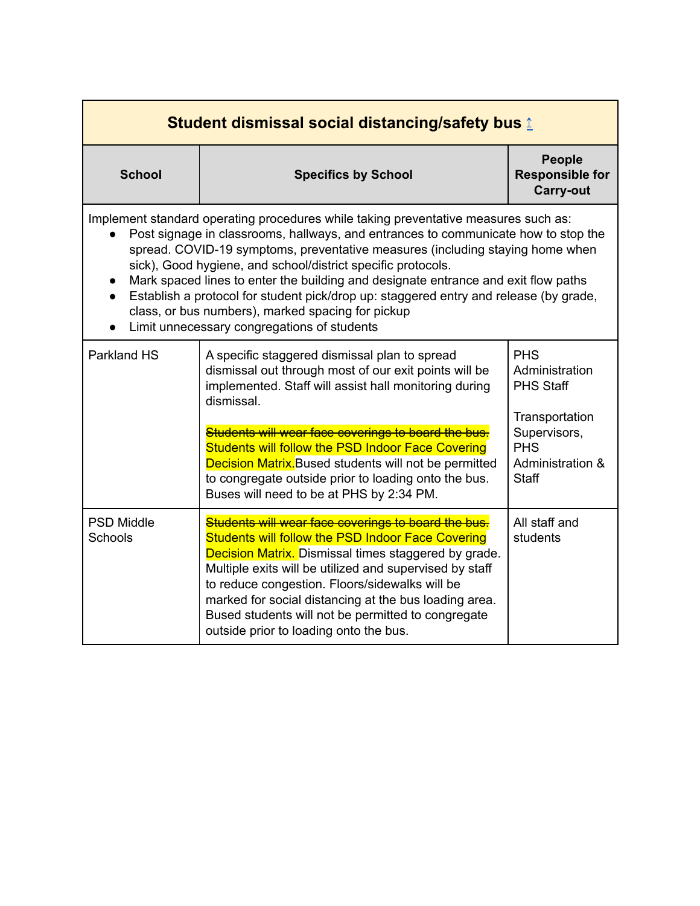<span id="page-18-0"></span>

| <b>School</b>                                                                                                                                                                                                                                                                                                                                                                                                                                                                                                                                                                                                 | <b>Specifics by School</b>                                                                                                                                                                                                                                                                                                                                                                                                                                    | <b>People</b><br><b>Responsible for</b><br><b>Carry-out</b>                                                                          |
|---------------------------------------------------------------------------------------------------------------------------------------------------------------------------------------------------------------------------------------------------------------------------------------------------------------------------------------------------------------------------------------------------------------------------------------------------------------------------------------------------------------------------------------------------------------------------------------------------------------|---------------------------------------------------------------------------------------------------------------------------------------------------------------------------------------------------------------------------------------------------------------------------------------------------------------------------------------------------------------------------------------------------------------------------------------------------------------|--------------------------------------------------------------------------------------------------------------------------------------|
| Implement standard operating procedures while taking preventative measures such as:<br>Post signage in classrooms, hallways, and entrances to communicate how to stop the<br>spread. COVID-19 symptoms, preventative measures (including staying home when<br>sick), Good hygiene, and school/district specific protocols.<br>Mark spaced lines to enter the building and designate entrance and exit flow paths<br>Establish a protocol for student pick/drop up: staggered entry and release (by grade,<br>class, or bus numbers), marked spacing for pickup<br>Limit unnecessary congregations of students |                                                                                                                                                                                                                                                                                                                                                                                                                                                               |                                                                                                                                      |
| Parkland HS                                                                                                                                                                                                                                                                                                                                                                                                                                                                                                                                                                                                   | A specific staggered dismissal plan to spread<br>dismissal out through most of our exit points will be<br>implemented. Staff will assist hall monitoring during<br>dismissal.<br>Students will wear face coverings to board the bus.<br><b>Students will follow the PSD Indoor Face Covering</b><br>Decision Matrix. Bused students will not be permitted<br>to congregate outside prior to loading onto the bus.<br>Buses will need to be at PHS by 2:34 PM. | <b>PHS</b><br>Administration<br><b>PHS Staff</b><br>Transportation<br>Supervisors,<br><b>PHS</b><br>Administration &<br><b>Staff</b> |
| <b>PSD Middle</b><br>Schools                                                                                                                                                                                                                                                                                                                                                                                                                                                                                                                                                                                  | Students will wear face coverings to board the bus.<br>Students will follow the PSD Indoor Face Covering<br><b>Decision Matrix.</b> Dismissal times staggered by grade.<br>Multiple exits will be utilized and supervised by staff<br>to reduce congestion. Floors/sidewalks will be<br>marked for social distancing at the bus loading area.<br>Bused students will not be permitted to congregate<br>outside prior to loading onto the bus.                 | All staff and<br>students                                                                                                            |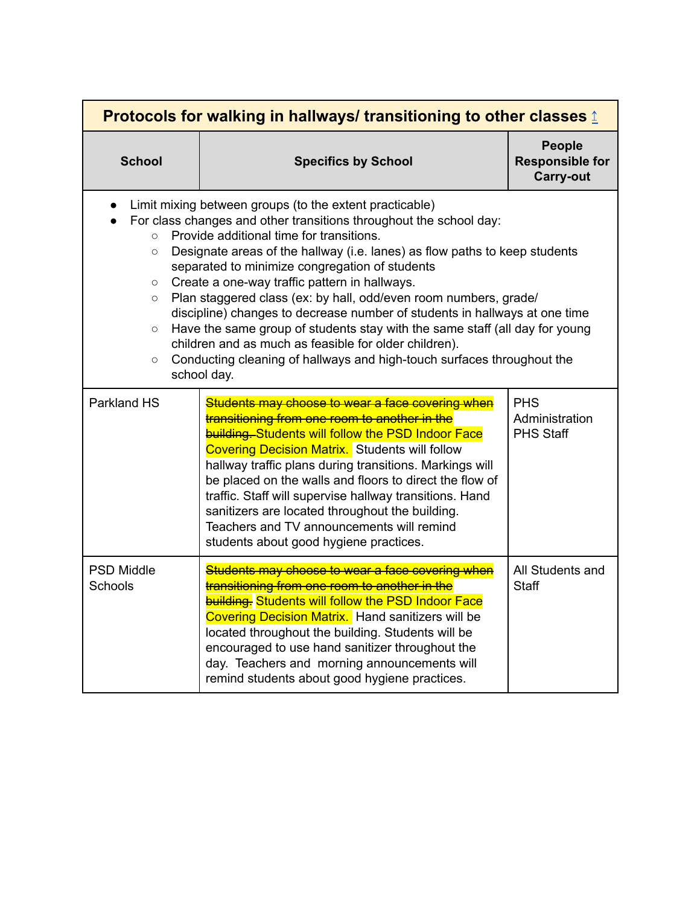<span id="page-19-0"></span>

| Protocols for walking in hallways/ transitioning to other classes <b>₫</b> |                                                                                                                                                                                                                                                                                                                                                                                                                                                                                                                                                                                                                                                                                                                                               |                                                             |
|----------------------------------------------------------------------------|-----------------------------------------------------------------------------------------------------------------------------------------------------------------------------------------------------------------------------------------------------------------------------------------------------------------------------------------------------------------------------------------------------------------------------------------------------------------------------------------------------------------------------------------------------------------------------------------------------------------------------------------------------------------------------------------------------------------------------------------------|-------------------------------------------------------------|
| <b>School</b>                                                              | <b>Specifics by School</b>                                                                                                                                                                                                                                                                                                                                                                                                                                                                                                                                                                                                                                                                                                                    | <b>People</b><br><b>Responsible for</b><br><b>Carry-out</b> |
| $\circ$<br>$\circ$<br>$\circ$<br>$\circ$<br>$\circ$<br>$\circ$             | Limit mixing between groups (to the extent practicable)<br>For class changes and other transitions throughout the school day:<br>Provide additional time for transitions.<br>Designate areas of the hallway (i.e. lanes) as flow paths to keep students<br>separated to minimize congregation of students<br>Create a one-way traffic pattern in hallways.<br>Plan staggered class (ex: by hall, odd/even room numbers, grade/<br>discipline) changes to decrease number of students in hallways at one time<br>Have the same group of students stay with the same staff (all day for young<br>children and as much as feasible for older children).<br>Conducting cleaning of hallways and high-touch surfaces throughout the<br>school day. |                                                             |
| <b>Parkland HS</b>                                                         | Students may choose to wear a face covering when<br>transitioning from one room to another in the<br><b>building. Students will follow the PSD Indoor Face</b><br><b>Covering Decision Matrix.</b> Students will follow<br>hallway traffic plans during transitions. Markings will<br>be placed on the walls and floors to direct the flow of<br>traffic. Staff will supervise hallway transitions. Hand<br>sanitizers are located throughout the building.<br>Teachers and TV announcements will remind<br>students about good hygiene practices.                                                                                                                                                                                            | <b>PHS</b><br>Administration<br><b>PHS Staff</b>            |
| <b>PSD Middle</b><br>Schools                                               | Students may choose to wear a face covering when<br>transitioning from one room to another in the<br><b>building.</b> Students will follow the PSD Indoor Face<br><b>Covering Decision Matrix.</b> Hand sanitizers will be<br>located throughout the building. Students will be<br>encouraged to use hand sanitizer throughout the<br>day. Teachers and morning announcements will<br>remind students about good hygiene practices.                                                                                                                                                                                                                                                                                                           | All Students and<br><b>Staff</b>                            |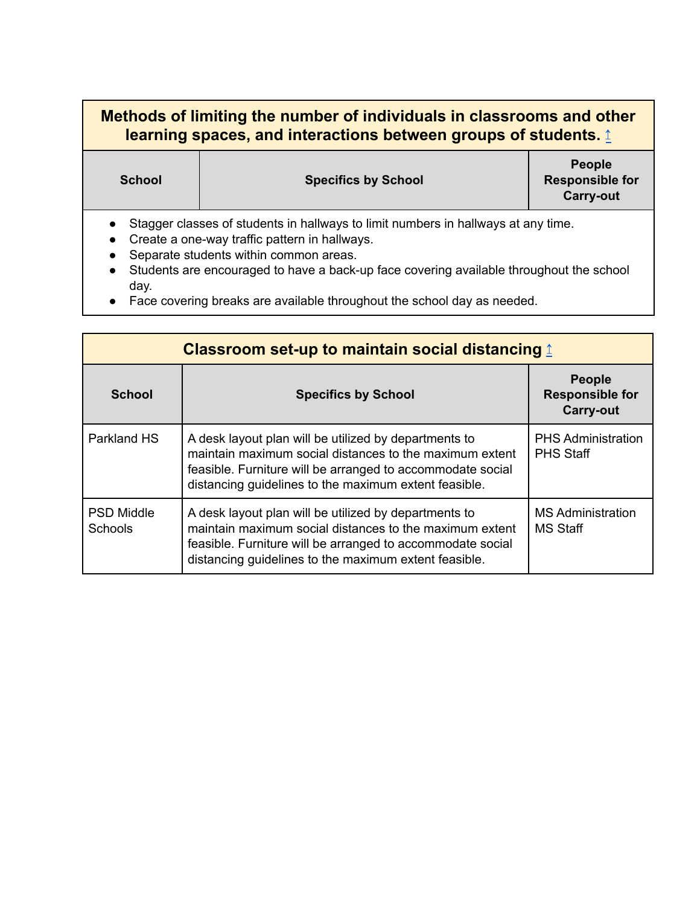## <span id="page-20-0"></span>**Methods of limiting the number of individuals in classrooms and other learning spaces, and interactions between groups of students.** [↥](#page-13-0)

**School Specifics by School**

**People Responsible for Carry-out**

- Stagger classes of students in hallways to limit numbers in hallways at any time.
- Create a one-way traffic pattern in hallways.
- Separate students within common areas.
- Students are encouraged to have a back-up face covering available throughout the school day.
- Face covering breaks are available throughout the school day as needed.

<span id="page-20-1"></span>

| Classroom set-up to maintain social distancing $\textcolor{red}{\ddot{\textbf{I}}}$ |                                                                                                                                                                                                                                         |                                                             |
|-------------------------------------------------------------------------------------|-----------------------------------------------------------------------------------------------------------------------------------------------------------------------------------------------------------------------------------------|-------------------------------------------------------------|
| School                                                                              | <b>Specifics by School</b>                                                                                                                                                                                                              | <b>People</b><br><b>Responsible for</b><br><b>Carry-out</b> |
| Parkland HS                                                                         | A desk layout plan will be utilized by departments to<br>maintain maximum social distances to the maximum extent<br>feasible. Furniture will be arranged to accommodate social<br>distancing guidelines to the maximum extent feasible. | <b>PHS Administration</b><br><b>PHS Staff</b>               |
| <b>PSD Middle</b><br><b>Schools</b>                                                 | A desk layout plan will be utilized by departments to<br>maintain maximum social distances to the maximum extent<br>feasible. Furniture will be arranged to accommodate social<br>distancing guidelines to the maximum extent feasible. | <b>MS Administration</b><br><b>MS Staff</b>                 |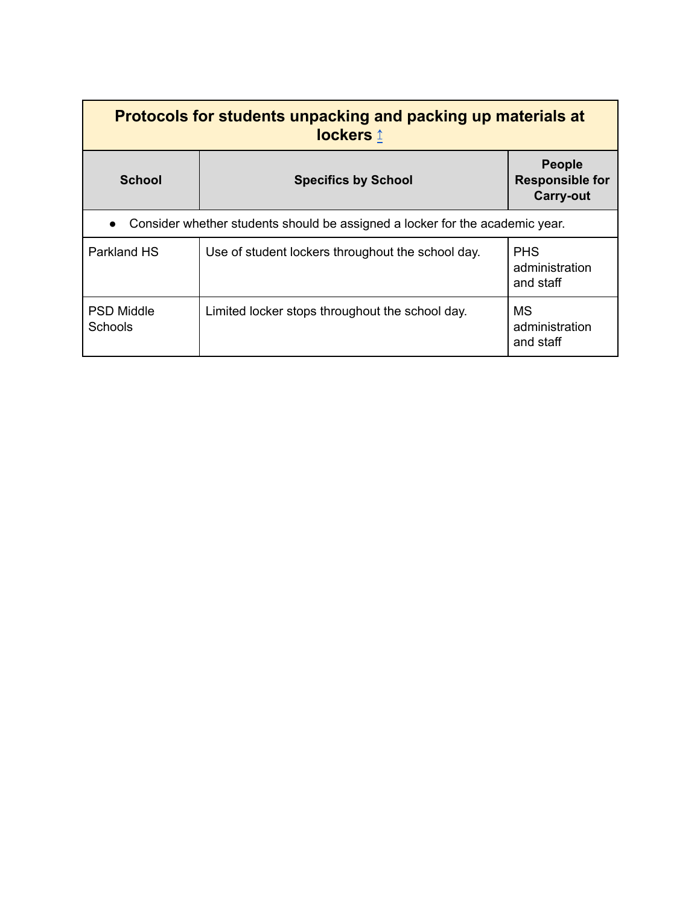<span id="page-21-0"></span>

| Protocols for students unpacking and packing up materials at<br>lockers 1    |                                                   |                                                             |
|------------------------------------------------------------------------------|---------------------------------------------------|-------------------------------------------------------------|
| <b>School</b>                                                                | <b>Specifics by School</b>                        | <b>People</b><br><b>Responsible for</b><br><b>Carry-out</b> |
| Consider whether students should be assigned a locker for the academic year. |                                                   |                                                             |
| Parkland HS                                                                  | Use of student lockers throughout the school day. | <b>PHS</b><br>administration<br>and staff                   |
| <b>PSD Middle</b><br><b>Schools</b>                                          | Limited locker stops throughout the school day.   | <b>MS</b><br>administration<br>and staff                    |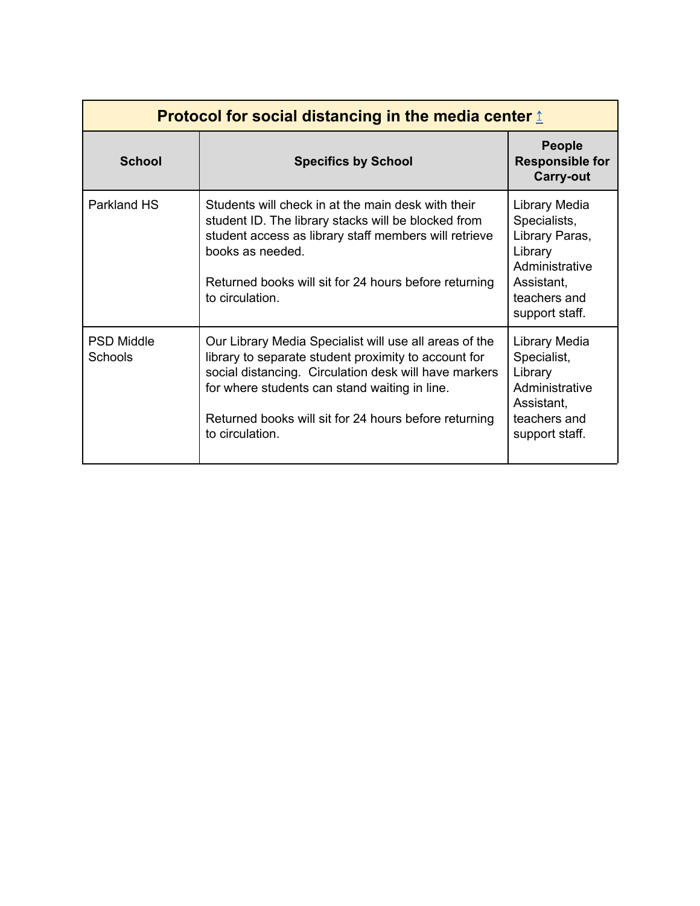<span id="page-22-0"></span>

| Protocol for social distancing in the media center $\hat{\mathbf{r}}$ |                                                                                                                                                                                                                                                                                                      |                                                                                                                              |
|-----------------------------------------------------------------------|------------------------------------------------------------------------------------------------------------------------------------------------------------------------------------------------------------------------------------------------------------------------------------------------------|------------------------------------------------------------------------------------------------------------------------------|
| <b>School</b>                                                         | <b>Specifics by School</b>                                                                                                                                                                                                                                                                           | <b>People</b><br><b>Responsible for</b><br><b>Carry-out</b>                                                                  |
| Parkland HS                                                           | Students will check in at the main desk with their<br>student ID. The library stacks will be blocked from<br>student access as library staff members will retrieve<br>books as needed.<br>Returned books will sit for 24 hours before returning<br>to circulation.                                   | Library Media<br>Specialists,<br>Library Paras,<br>Library<br>Administrative<br>Assistant,<br>teachers and<br>support staff. |
| <b>PSD Middle</b><br>Schools                                          | Our Library Media Specialist will use all areas of the<br>library to separate student proximity to account for<br>social distancing. Circulation desk will have markers<br>for where students can stand waiting in line.<br>Returned books will sit for 24 hours before returning<br>to circulation. | Library Media<br>Specialist,<br>Library<br>Administrative<br>Assistant,<br>teachers and<br>support staff.                    |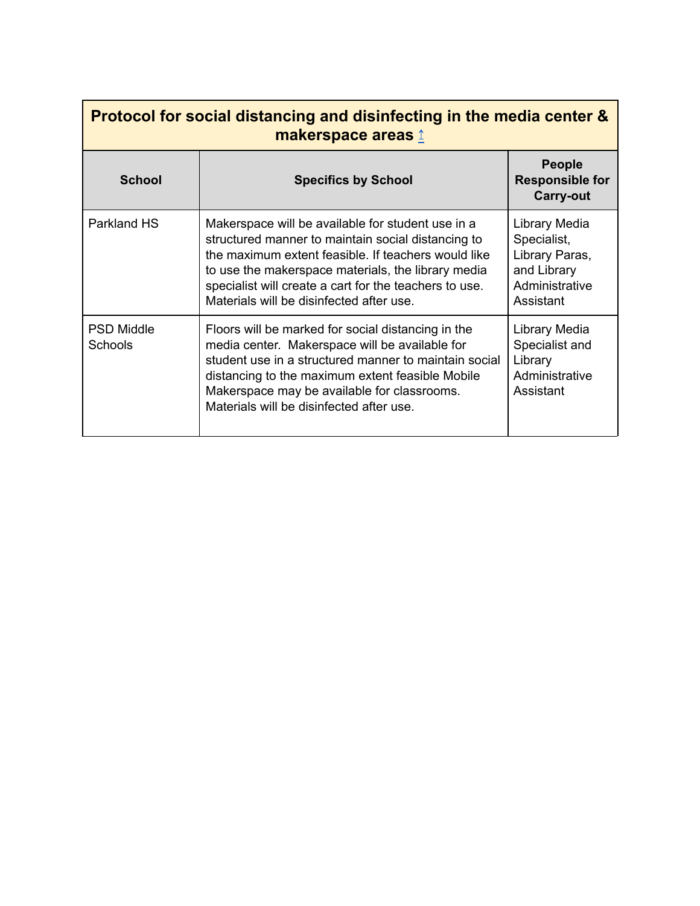<span id="page-23-0"></span>

| Protocol for social distancing and disinfecting in the media center &<br>makerspace areas 1 |                                                                                                                                                                                                                                                                                                                            |                                                                                              |  |
|---------------------------------------------------------------------------------------------|----------------------------------------------------------------------------------------------------------------------------------------------------------------------------------------------------------------------------------------------------------------------------------------------------------------------------|----------------------------------------------------------------------------------------------|--|
| <b>School</b>                                                                               | <b>Specifics by School</b>                                                                                                                                                                                                                                                                                                 | <b>People</b><br><b>Responsible for</b><br><b>Carry-out</b>                                  |  |
| Parkland HS                                                                                 | Makerspace will be available for student use in a<br>structured manner to maintain social distancing to<br>the maximum extent feasible. If teachers would like<br>to use the makerspace materials, the library media<br>specialist will create a cart for the teachers to use.<br>Materials will be disinfected after use. | Library Media<br>Specialist,<br>Library Paras,<br>and Library<br>Administrative<br>Assistant |  |
| <b>PSD Middle</b><br><b>Schools</b>                                                         | Floors will be marked for social distancing in the<br>media center. Makerspace will be available for<br>student use in a structured manner to maintain social<br>distancing to the maximum extent feasible Mobile<br>Makerspace may be available for classrooms.<br>Materials will be disinfected after use.               | Library Media<br>Specialist and<br>Library<br>Administrative<br>Assistant                    |  |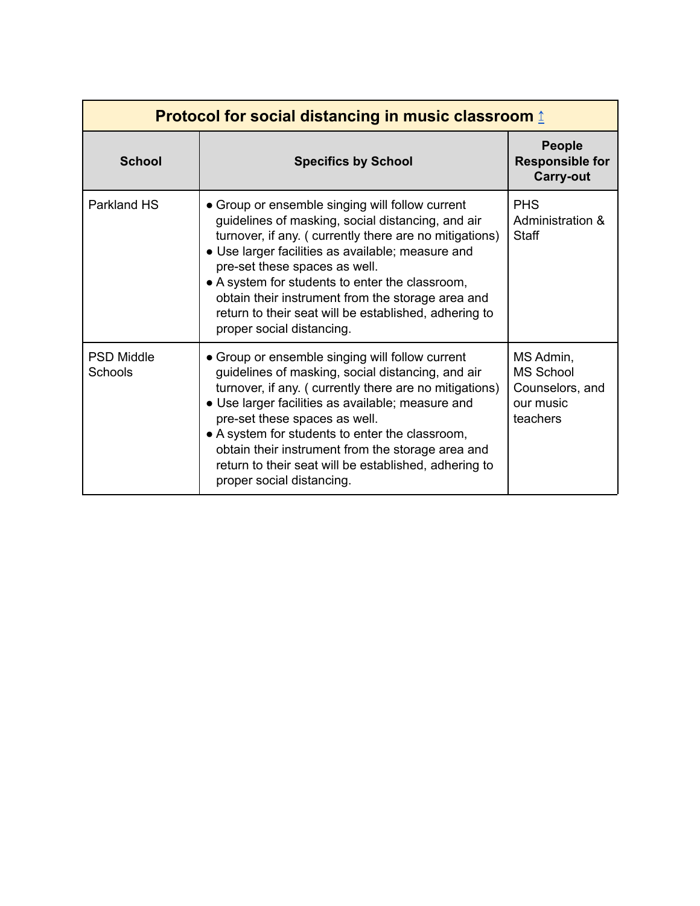<span id="page-24-0"></span>

| Protocol for social distancing in music classroom $\hat{\mathbf{r}}$ |                                                                                                                                                                                                                                                                                                                                                                                                                                                    |                                                                           |
|----------------------------------------------------------------------|----------------------------------------------------------------------------------------------------------------------------------------------------------------------------------------------------------------------------------------------------------------------------------------------------------------------------------------------------------------------------------------------------------------------------------------------------|---------------------------------------------------------------------------|
| <b>School</b>                                                        | <b>Specifics by School</b>                                                                                                                                                                                                                                                                                                                                                                                                                         | <b>People</b><br><b>Responsible for</b><br><b>Carry-out</b>               |
| Parkland HS                                                          | • Group or ensemble singing will follow current<br>guidelines of masking, social distancing, and air<br>turnover, if any. (currently there are no mitigations)<br>• Use larger facilities as available; measure and<br>pre-set these spaces as well.<br>• A system for students to enter the classroom,<br>obtain their instrument from the storage area and<br>return to their seat will be established, adhering to<br>proper social distancing. | <b>PHS</b><br>Administration &<br><b>Staff</b>                            |
| <b>PSD Middle</b><br><b>Schools</b>                                  | • Group or ensemble singing will follow current<br>guidelines of masking, social distancing, and air<br>turnover, if any. (currently there are no mitigations)<br>• Use larger facilities as available; measure and<br>pre-set these spaces as well.<br>• A system for students to enter the classroom,<br>obtain their instrument from the storage area and<br>return to their seat will be established, adhering to<br>proper social distancing. | MS Admin,<br><b>MS School</b><br>Counselors, and<br>our music<br>teachers |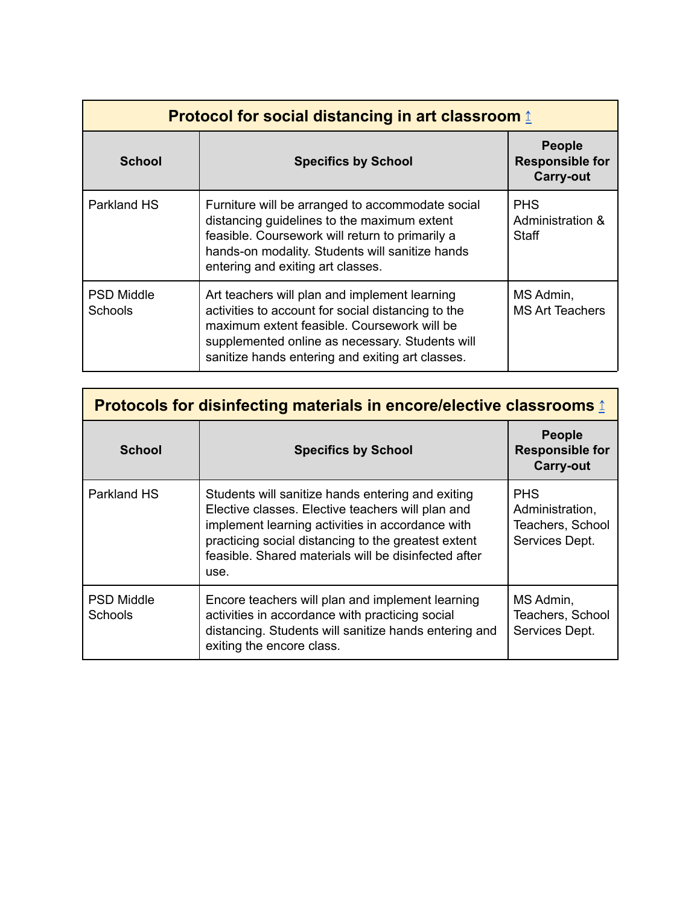<span id="page-25-0"></span>

| <b>Protocol for social distancing in art classroom 1</b> |                                                                                                                                                                                                                                                           |                                                             |
|----------------------------------------------------------|-----------------------------------------------------------------------------------------------------------------------------------------------------------------------------------------------------------------------------------------------------------|-------------------------------------------------------------|
| <b>School</b>                                            | <b>Specifics by School</b>                                                                                                                                                                                                                                | <b>People</b><br><b>Responsible for</b><br><b>Carry-out</b> |
| Parkland HS                                              | Furniture will be arranged to accommodate social<br>distancing guidelines to the maximum extent<br>feasible. Coursework will return to primarily a<br>hands-on modality. Students will sanitize hands<br>entering and exiting art classes.                | <b>PHS</b><br>Administration &<br>Staff                     |
| <b>PSD Middle</b><br>Schools                             | Art teachers will plan and implement learning<br>activities to account for social distancing to the<br>maximum extent feasible. Coursework will be<br>supplemented online as necessary. Students will<br>sanitize hands entering and exiting art classes. | MS Admin,<br><b>MS Art Teachers</b>                         |

<span id="page-25-1"></span>

| <b>Protocols for disinfecting materials in encore/elective classrooms 1</b> |                                                                                                                                                                                                                                                                                   |                                                                     |
|-----------------------------------------------------------------------------|-----------------------------------------------------------------------------------------------------------------------------------------------------------------------------------------------------------------------------------------------------------------------------------|---------------------------------------------------------------------|
| <b>School</b>                                                               | <b>Specifics by School</b>                                                                                                                                                                                                                                                        | <b>People</b><br><b>Responsible for</b><br><b>Carry-out</b>         |
| Parkland HS                                                                 | Students will sanitize hands entering and exiting<br>Elective classes. Elective teachers will plan and<br>implement learning activities in accordance with<br>practicing social distancing to the greatest extent<br>feasible. Shared materials will be disinfected after<br>use. | <b>PHS</b><br>Administration,<br>Teachers, School<br>Services Dept. |
| <b>PSD Middle</b><br><b>Schools</b>                                         | Encore teachers will plan and implement learning<br>activities in accordance with practicing social<br>distancing. Students will sanitize hands entering and<br>exiting the encore class.                                                                                         | MS Admin,<br>Teachers, School<br>Services Dept.                     |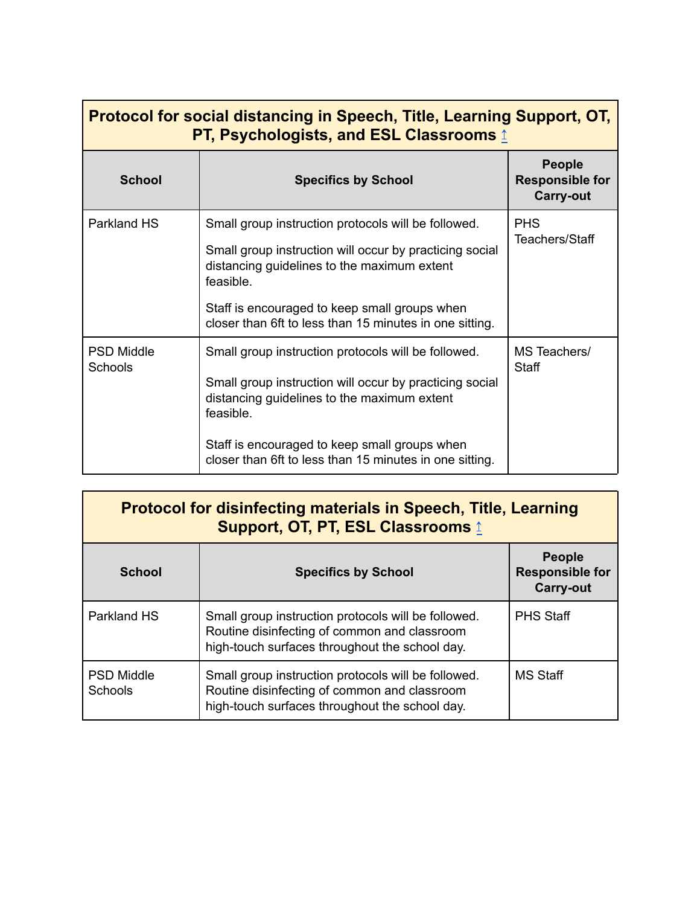<span id="page-26-0"></span>

| Protocol for social distancing in Speech, Title, Learning Support, OT,<br><b>PT, Psychologists, and ESL Classrooms 1</b> |                                                                                                                     |                                                             |
|--------------------------------------------------------------------------------------------------------------------------|---------------------------------------------------------------------------------------------------------------------|-------------------------------------------------------------|
| <b>School</b>                                                                                                            | <b>Specifics by School</b>                                                                                          | <b>People</b><br><b>Responsible for</b><br><b>Carry-out</b> |
| Parkland HS                                                                                                              | Small group instruction protocols will be followed.                                                                 | <b>PHS</b>                                                  |
|                                                                                                                          | Small group instruction will occur by practicing social<br>distancing guidelines to the maximum extent<br>feasible. | Teachers/Staff                                              |
|                                                                                                                          | Staff is encouraged to keep small groups when<br>closer than 6ft to less than 15 minutes in one sitting.            |                                                             |
| <b>PSD Middle</b><br>Schools                                                                                             | Small group instruction protocols will be followed.                                                                 | MS Teachers/<br><b>Staff</b>                                |
|                                                                                                                          | Small group instruction will occur by practicing social<br>distancing guidelines to the maximum extent<br>feasible. |                                                             |
|                                                                                                                          | Staff is encouraged to keep small groups when<br>closer than 6ft to less than 15 minutes in one sitting.            |                                                             |

<span id="page-26-1"></span>

| <b>Protocol for disinfecting materials in Speech, Title, Learning</b><br><b>Support, OT, PT, ESL Classrooms 1</b> |                                                                                                                                                       |                                                             |
|-------------------------------------------------------------------------------------------------------------------|-------------------------------------------------------------------------------------------------------------------------------------------------------|-------------------------------------------------------------|
| <b>School</b>                                                                                                     | <b>Specifics by School</b>                                                                                                                            | <b>People</b><br><b>Responsible for</b><br><b>Carry-out</b> |
| Parkland HS                                                                                                       | Small group instruction protocols will be followed.<br>Routine disinfecting of common and classroom<br>high-touch surfaces throughout the school day. | <b>PHS Staff</b>                                            |
| <b>PSD Middle</b><br><b>Schools</b>                                                                               | Small group instruction protocols will be followed.<br>Routine disinfecting of common and classroom<br>high-touch surfaces throughout the school day. | <b>MS Staff</b>                                             |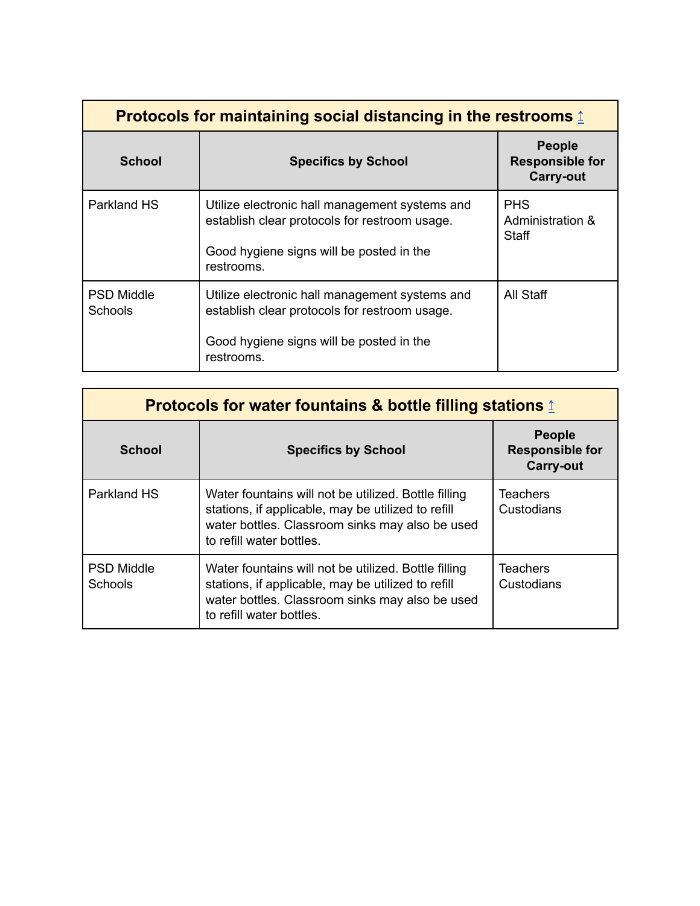| Protocols for maintaining social distancing in the restrooms $\textcolor{red}{\downarrow}$ |                                                                                                                                                           |                                                             |
|--------------------------------------------------------------------------------------------|-----------------------------------------------------------------------------------------------------------------------------------------------------------|-------------------------------------------------------------|
| <b>School</b>                                                                              | <b>Specifics by School</b>                                                                                                                                | <b>People</b><br><b>Responsible for</b><br><b>Carry-out</b> |
| Parkland HS                                                                                | Utilize electronic hall management systems and<br>establish clear protocols for restroom usage.<br>Good hygiene signs will be posted in the<br>restrooms. | <b>PHS</b><br>Administration &<br>Staff                     |
| <b>PSD Middle</b><br>Schools                                                               | Utilize electronic hall management systems and<br>establish clear protocols for restroom usage.<br>Good hygiene signs will be posted in the<br>restrooms. | All Staff                                                   |

<span id="page-27-0"></span>

| Protocols for water fountains & bottle filling stations $\hat{I}$ |                                                                                                                                                                                           |                                                             |
|-------------------------------------------------------------------|-------------------------------------------------------------------------------------------------------------------------------------------------------------------------------------------|-------------------------------------------------------------|
| <b>School</b>                                                     | <b>Specifics by School</b>                                                                                                                                                                | <b>People</b><br><b>Responsible for</b><br><b>Carry-out</b> |
| Parkland HS                                                       | Water fountains will not be utilized. Bottle filling<br>stations, if applicable, may be utilized to refill<br>water bottles. Classroom sinks may also be used<br>to refill water bottles. | <b>Teachers</b><br>Custodians                               |
| <b>PSD Middle</b><br><b>Schools</b>                               | Water fountains will not be utilized. Bottle filling<br>stations, if applicable, may be utilized to refill<br>water bottles. Classroom sinks may also be used<br>to refill water bottles. | Teachers<br>Custodians                                      |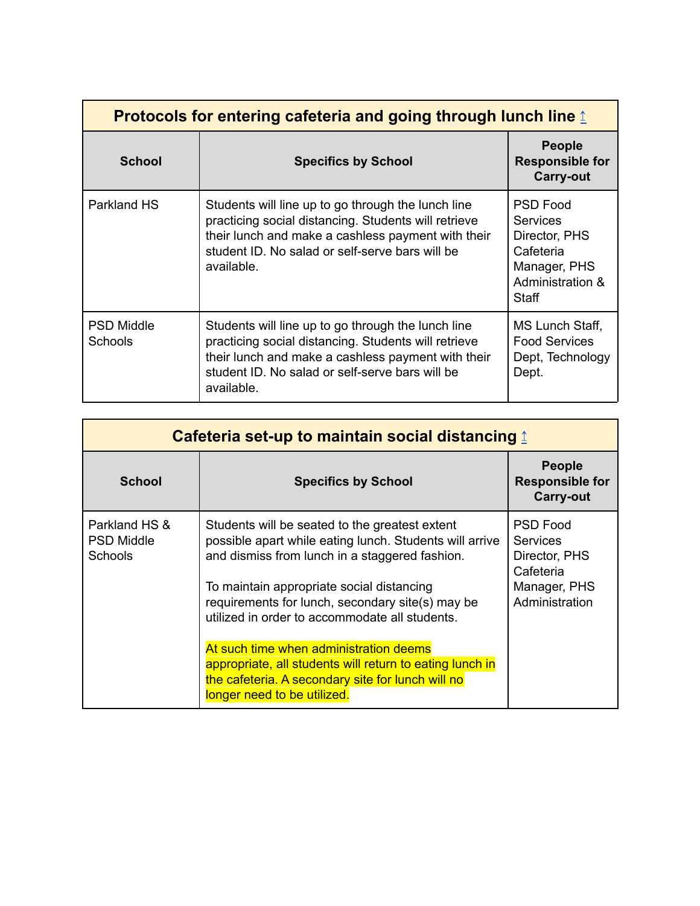<span id="page-28-0"></span>

| <b>Protocols for entering cafeteria and going through lunch line 1</b> |                                                                                                                                                                                                                                   |                                                                                                               |
|------------------------------------------------------------------------|-----------------------------------------------------------------------------------------------------------------------------------------------------------------------------------------------------------------------------------|---------------------------------------------------------------------------------------------------------------|
| <b>School</b>                                                          | <b>Specifics by School</b>                                                                                                                                                                                                        | <b>People</b><br><b>Responsible for</b><br><b>Carry-out</b>                                                   |
| Parkland HS                                                            | Students will line up to go through the lunch line<br>practicing social distancing. Students will retrieve<br>their lunch and make a cashless payment with their<br>student ID. No salad or self-serve bars will be<br>available. | <b>PSD Food</b><br><b>Services</b><br>Director, PHS<br>Cafeteria<br>Manager, PHS<br>Administration &<br>Staff |
| <b>PSD Middle</b><br><b>Schools</b>                                    | Students will line up to go through the lunch line<br>practicing social distancing. Students will retrieve<br>their lunch and make a cashless payment with their<br>student ID. No salad or self-serve bars will be<br>available. | MS Lunch Staff,<br><b>Food Services</b><br>Dept, Technology<br>Dept.                                          |

<span id="page-28-1"></span>

| Cafeteria set-up to maintain social distancing <u>↑</u> |                                                                                                                                                                                                                                                                                                                |                                                                                                    |
|---------------------------------------------------------|----------------------------------------------------------------------------------------------------------------------------------------------------------------------------------------------------------------------------------------------------------------------------------------------------------------|----------------------------------------------------------------------------------------------------|
| <b>School</b>                                           | <b>Specifics by School</b>                                                                                                                                                                                                                                                                                     | <b>People</b><br><b>Responsible for</b><br><b>Carry-out</b>                                        |
| Parkland HS &<br><b>PSD Middle</b><br><b>Schools</b>    | Students will be seated to the greatest extent<br>possible apart while eating lunch. Students will arrive<br>and dismiss from lunch in a staggered fashion.<br>To maintain appropriate social distancing<br>requirements for lunch, secondary site(s) may be<br>utilized in order to accommodate all students. | <b>PSD Food</b><br><b>Services</b><br>Director, PHS<br>Cafeteria<br>Manager, PHS<br>Administration |
|                                                         | At such time when administration deems<br>appropriate, all students will return to eating lunch in<br>the cafeteria. A secondary site for lunch will no<br>longer need to be utilized.                                                                                                                         |                                                                                                    |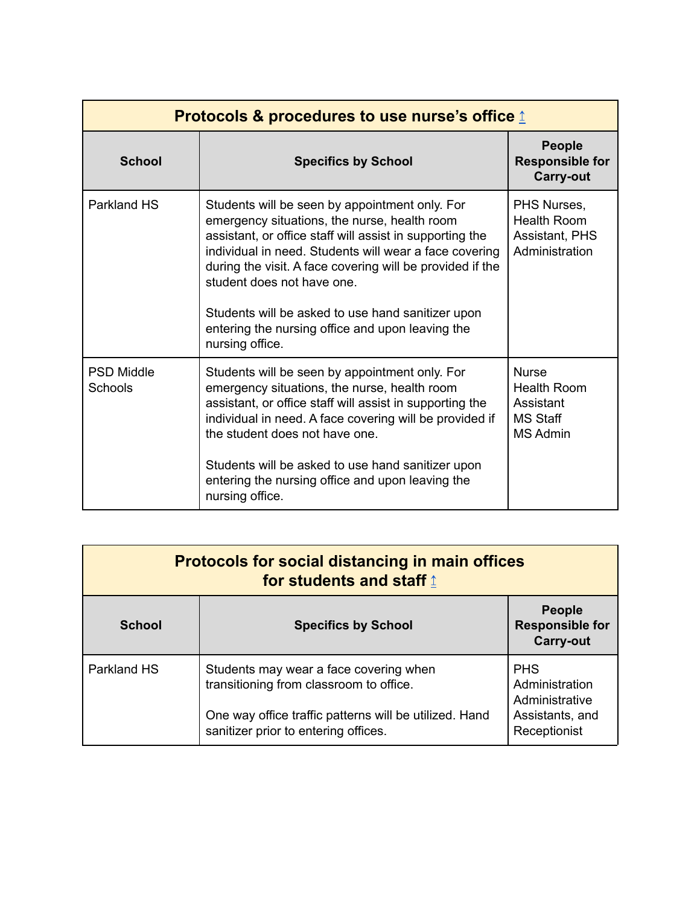<span id="page-29-0"></span>

| Protocols & procedures to use nurse's office $\hat{\mathbb{I}}$ |                                                                                                                                                                                                                                                                                                                                                                                                                                             |                                                                                       |
|-----------------------------------------------------------------|---------------------------------------------------------------------------------------------------------------------------------------------------------------------------------------------------------------------------------------------------------------------------------------------------------------------------------------------------------------------------------------------------------------------------------------------|---------------------------------------------------------------------------------------|
| <b>School</b>                                                   | <b>Specifics by School</b>                                                                                                                                                                                                                                                                                                                                                                                                                  | <b>People</b><br><b>Responsible for</b><br><b>Carry-out</b>                           |
| Parkland HS                                                     | Students will be seen by appointment only. For<br>emergency situations, the nurse, health room<br>assistant, or office staff will assist in supporting the<br>individual in need. Students will wear a face covering<br>during the visit. A face covering will be provided if the<br>student does not have one.<br>Students will be asked to use hand sanitizer upon<br>entering the nursing office and upon leaving the<br>nursing office. | PHS Nurses,<br>Health Room<br><b>Assistant, PHS</b><br>Administration                 |
| <b>PSD Middle</b><br>Schools                                    | Students will be seen by appointment only. For<br>emergency situations, the nurse, health room<br>assistant, or office staff will assist in supporting the<br>individual in need. A face covering will be provided if<br>the student does not have one.<br>Students will be asked to use hand sanitizer upon<br>entering the nursing office and upon leaving the<br>nursing office.                                                         | <b>Nurse</b><br><b>Health Room</b><br>Assistant<br><b>MS Staff</b><br><b>MS Admin</b> |

<span id="page-29-1"></span>

| <b>Protocols for social distancing in main offices</b><br>for students and staff 1 |                                                                                                                                                                                     |                                                                                   |
|------------------------------------------------------------------------------------|-------------------------------------------------------------------------------------------------------------------------------------------------------------------------------------|-----------------------------------------------------------------------------------|
| <b>School</b>                                                                      | <b>Specifics by School</b>                                                                                                                                                          | <b>People</b><br><b>Responsible for</b><br><b>Carry-out</b>                       |
| Parkland HS                                                                        | Students may wear a face covering when<br>transitioning from classroom to office.<br>One way office traffic patterns will be utilized. Hand<br>sanitizer prior to entering offices. | <b>PHS</b><br>Administration<br>Administrative<br>Assistants, and<br>Receptionist |